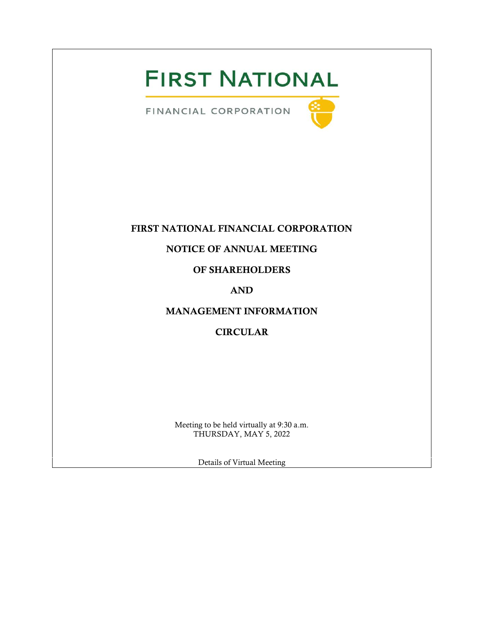# **FIRST NATIONAL**

FINANCIAL CORPORATION



# FIRST NATIONAL FINANCIAL CORPORATION

# NOTICE OF ANNUAL MEETING

# OF SHAREHOLDERS

# AND

# MANAGEMENT INFORMATION

# CIRCULAR

Meeting to be held virtually at 9:30 a.m. THURSDAY, MAY 5, 2022

Details of Virtual Meeting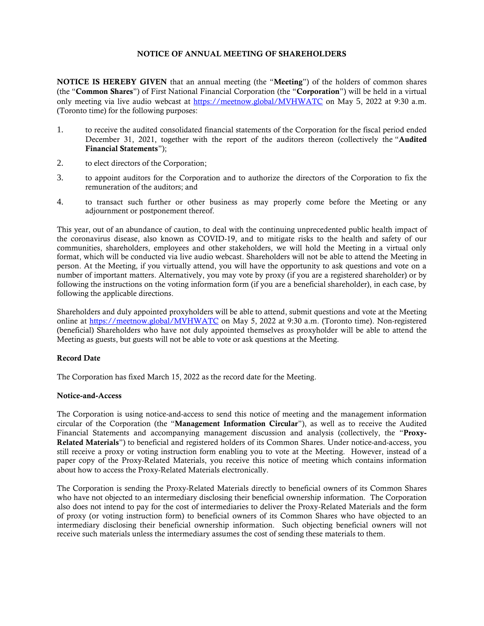#### NOTICE OF ANNUAL MEETING OF SHAREHOLDERS

NOTICE IS HEREBY GIVEN that an annual meeting (the "Meeting") of the holders of common shares (the "Common Shares") of First National Financial Corporation (the "Corporation") will be held in a virtual only meeting via live audio webcast at <https://meetnow.global/MVHWATC> on May 5, 2022 at 9:30 a.m. (Toronto time) for the following purposes:

- 1. to receive the audited consolidated financial statements of the Corporation for the fiscal period ended December 31, 2021, together with the report of the auditors thereon (collectively the "Audited Financial Statements");
- 2. to elect directors of the Corporation;
- 3. to appoint auditors for the Corporation and to authorize the directors of the Corporation to fix the remuneration of the auditors; and
- 4. to transact such further or other business as may properly come before the Meeting or any adjournment or postponement thereof.

This year, out of an abundance of caution, to deal with the continuing unprecedented public health impact of the coronavirus disease, also known as COVID-19, and to mitigate risks to the health and safety of our communities, shareholders, employees and other stakeholders, we will hold the Meeting in a virtual only format, which will be conducted via live audio webcast. Shareholders will not be able to attend the Meeting in person. At the Meeting, if you virtually attend, you will have the opportunity to ask questions and vote on a number of important matters. Alternatively, you may vote by proxy (if you are a registered shareholder) or by following the instructions on the voting information form (if you are a beneficial shareholder), in each case, by following the applicable directions.

Shareholders and duly appointed proxyholders will be able to attend, submit questions and vote at the Meeting online at<https://meetnow.global/MVHWATC> on May 5, 2022 at 9:30 a.m. (Toronto time). Non-registered (beneficial) Shareholders who have not duly appointed themselves as proxyholder will be able to attend the Meeting as guests, but guests will not be able to vote or ask questions at the Meeting.

#### Record Date

The Corporation has fixed March 15, 2022 as the record date for the Meeting.

#### Notice-and-Access

The Corporation is using notice-and-access to send this notice of meeting and the management information circular of the Corporation (the "Management Information Circular"), as well as to receive the Audited Financial Statements and accompanying management discussion and analysis (collectively, the "Proxy-Related Materials") to beneficial and registered holders of its Common Shares. Under notice-and-access, you still receive a proxy or voting instruction form enabling you to vote at the Meeting. However, instead of a paper copy of the Proxy-Related Materials, you receive this notice of meeting which contains information about how to access the Proxy-Related Materials electronically.

The Corporation is sending the Proxy-Related Materials directly to beneficial owners of its Common Shares who have not objected to an intermediary disclosing their beneficial ownership information. The Corporation also does not intend to pay for the cost of intermediaries to deliver the Proxy-Related Materials and the form of proxy (or voting instruction form) to beneficial owners of its Common Shares who have objected to an intermediary disclosing their beneficial ownership information. Such objecting beneficial owners will not receive such materials unless the intermediary assumes the cost of sending these materials to them.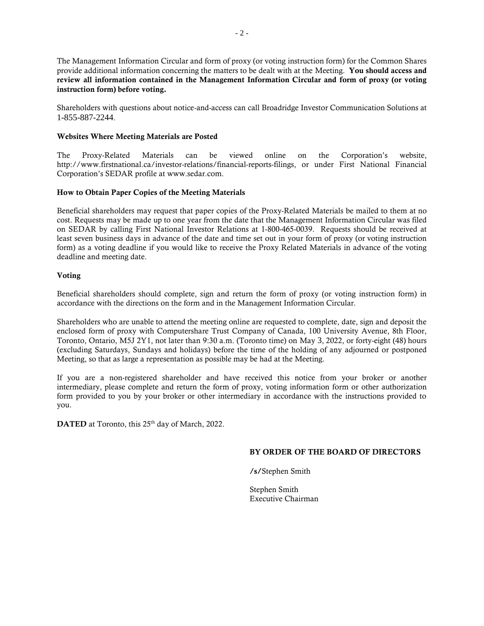The Management Information Circular and form of proxy (or voting instruction form) for the Common Shares provide additional information concerning the matters to be dealt with at the Meeting. You should access and review all information contained in the Management Information Circular and form of proxy (or voting instruction form) before voting.

Shareholders with questions about notice-and-access can call Broadridge Investor Communication Solutions at 1-855-887-2244.

## Websites Where Meeting Materials are Posted

The Proxy-Related Materials can be viewed online on the Corporation's website, http://www.firstnational.ca/investor-relations/financial-reports-filings, or under First National Financial Corporation's SEDAR profile at www.sedar.com.

# How to Obtain Paper Copies of the Meeting Materials

Beneficial shareholders may request that paper copies of the Proxy-Related Materials be mailed to them at no cost. Requests may be made up to one year from the date that the Management Information Circular was filed on SEDAR by calling First National Investor Relations at 1-800-465-0039. Requests should be received at least seven business days in advance of the date and time set out in your form of proxy (or voting instruction form) as a voting deadline if you would like to receive the Proxy Related Materials in advance of the voting deadline and meeting date.

#### Voting

Beneficial shareholders should complete, sign and return the form of proxy (or voting instruction form) in accordance with the directions on the form and in the Management Information Circular.

Shareholders who are unable to attend the meeting online are requested to complete, date, sign and deposit the enclosed form of proxy with Computershare Trust Company of Canada, 100 University Avenue, 8th Floor, Toronto, Ontario, M5J 2Y1, not later than 9:30 a.m. (Toronto time) on May 3, 2022, or forty-eight (48) hours (excluding Saturdays, Sundays and holidays) before the time of the holding of any adjourned or postponed Meeting, so that as large a representation as possible may be had at the Meeting.

If you are a non-registered shareholder and have received this notice from your broker or another intermediary, please complete and return the form of proxy, voting information form or other authorization form provided to you by your broker or other intermediary in accordance with the instructions provided to you.

DATED at Toronto, this 25<sup>th</sup> day of March, 2022.

#### BY ORDER OF THE BOARD OF DIRECTORS

/s/Stephen Smith

Stephen Smith Executive Chairman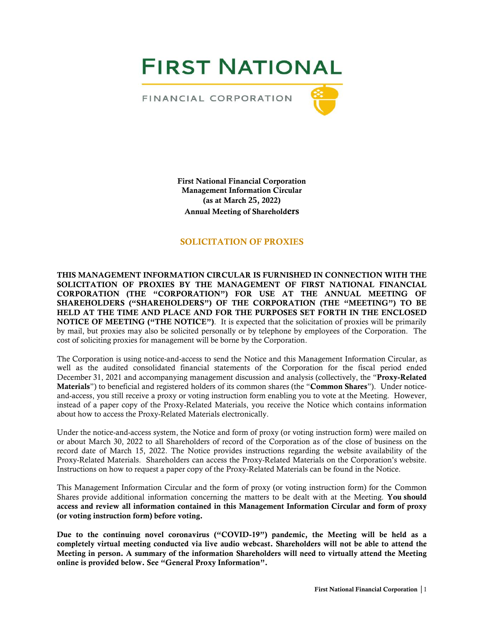**FIRST NATIONAL** 

FINANCIAL CORPORATION



First National Financial Corporation Management Information Circular (as at March **25**, 2022) Annual Meeting of Shareholders

# SOLICITATION OF PROXIES

THIS MANAGEMENT INFORMATION CIRCULAR IS FURNISHED IN CONNECTION WITH THE SOLICITATION OF PROXIES BY THE MANAGEMENT OF FIRST NATIONAL FINANCIAL CORPORATION (THE "CORPORATION") FOR USE AT THE ANNUAL MEETING OF SHAREHOLDERS ("SHAREHOLDERS") OF THE CORPORATION (THE "MEETING") TO BE HELD AT THE TIME AND PLACE AND FOR THE PURPOSES SET FORTH IN THE ENCLOSED NOTICE OF MEETING ("THE NOTICE"). It is expected that the solicitation of proxies will be primarily by mail, but proxies may also be solicited personally or by telephone by employees of the Corporation. The cost of soliciting proxies for management will be borne by the Corporation.

The Corporation is using notice-and-access to send the Notice and this Management Information Circular, as well as the audited consolidated financial statements of the Corporation for the fiscal period ended December 31, 2021 and accompanying management discussion and analysis (collectively, the "Proxy-Related") Materials") to beneficial and registered holders of its common shares (the "Common Shares"). Under noticeand-access, you still receive a proxy or voting instruction form enabling you to vote at the Meeting. However, instead of a paper copy of the Proxy-Related Materials, you receive the Notice which contains information about how to access the Proxy-Related Materials electronically.

Under the notice-and-access system, the Notice and form of proxy (or voting instruction form) were mailed on or about March 30, 2022 to all Shareholders of record of the Corporation as of the close of business on the record date of March 15, 2022. The Notice provides instructions regarding the website availability of the Proxy-Related Materials. Shareholders can access the Proxy-Related Materials on the Corporation's website. Instructions on how to request a paper copy of the Proxy-Related Materials can be found in the Notice.

This Management Information Circular and the form of proxy (or voting instruction form) for the Common Shares provide additional information concerning the matters to be dealt with at the Meeting. You should access and review all information contained in this Management Information Circular and form of proxy (or voting instruction form) before voting.

Due to the continuing novel coronavirus ("COVID-19") pandemic, the Meeting will be held as a completely virtual meeting conducted via live audio webcast. Shareholders will not be able to attend the Meeting in person. A summary of the information Shareholders will need to virtually attend the Meeting online is provided below. See "General Proxy Information".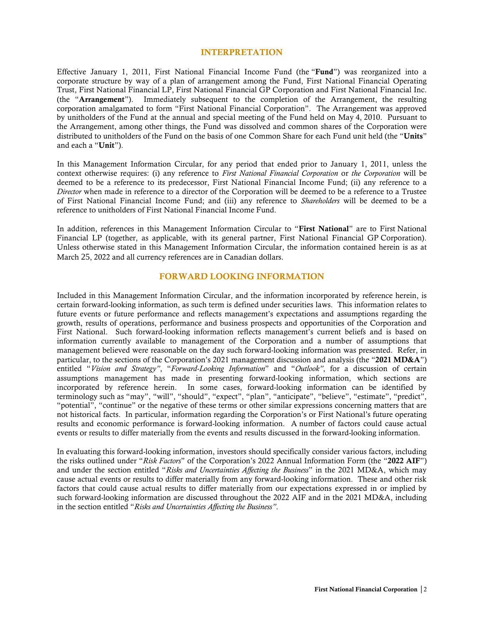#### INTERPRETATION

Effective January 1, 2011, First National Financial Income Fund (the "Fund") was reorganized into a corporate structure by way of a plan of arrangement among the Fund, First National Financial Operating Trust, First National Financial LP, First National Financial GP Corporation and First National Financial Inc. (the "Arrangement"). Immediately subsequent to the completion of the Arrangement, the resulting corporation amalgamated to form "First National Financial Corporation". The Arrangement was approved by unitholders of the Fund at the annual and special meeting of the Fund held on May 4, 2010. Pursuant to the Arrangement, among other things, the Fund was dissolved and common shares of the Corporation were distributed to unitholders of the Fund on the basis of one Common Share for each Fund unit held (the "Units" and each a "Unit").

In this Management Information Circular, for any period that ended prior to January 1, 2011, unless the context otherwise requires: (i) any reference to *First National Financial Corporation* or *the Corporation* will be deemed to be a reference to its predecessor, First National Financial Income Fund; (ii) any reference to a *Director* when made in reference to a director of the Corporation will be deemed to be a reference to a Trustee of First National Financial Income Fund; and (iii) any reference to *Shareholders* will be deemed to be a reference to unitholders of First National Financial Income Fund.

In addition, references in this Management Information Circular to "First National" are to First National Financial LP (together, as applicable, with its general partner, First National Financial GP Corporation). Unless otherwise stated in this Management Information Circular, the information contained herein is as at March 25, 2022 and all currency references are in Canadian dollars.

# FORWARD LOOKING INFORMATION

Included in this Management Information Circular, and the information incorporated by reference herein, is certain forward-looking information, as such term is defined under securities laws. This information relates to future events or future performance and reflects management's expectations and assumptions regarding the growth, results of operations, performance and business prospects and opportunities of the Corporation and First National. Such forward-looking information reflects management's current beliefs and is based on information currently available to management of the Corporation and a number of assumptions that management believed were reasonable on the day such forward-looking information was presented. Refer, in particular, to the sections of the Corporation's 2021 management discussion and analysis (the "2021 MD&A") entitled "*Vision and Strategy"*, "*Forward-Looking Information*" and "*Outlook"*, for a discussion of certain assumptions management has made in presenting forward-looking information, which sections are incorporated by reference herein. In some cases, forward-looking information can be identified by terminology such as "may", "will", "should", "expect", "plan", "anticipate", "believe", "estimate", "predict", "potential", "continue" or the negative of these terms or other similar expressions concerning matters that are not historical facts. In particular, information regarding the Corporation's or First National's future operating results and economic performance is forward-looking information. A number of factors could cause actual events or results to differ materially from the events and results discussed in the forward-looking information.

In evaluating this forward-looking information, investors should specifically consider various factors, including the risks outlined under "*Risk Factors*" of the Corporation's 2022 Annual Information Form (the "2022 AIF") and under the section entitled "*Risks and Uncertainties Affecting the Business*" in the 2021 MD&A, which may cause actual events or results to differ materially from any forward-looking information. These and other risk factors that could cause actual results to differ materially from our expectations expressed in or implied by such forward-looking information are discussed throughout the 2022 AIF and in the 2021 MD&A, including in the section entitled "*Risks and Uncertainties Affecting the Business"*.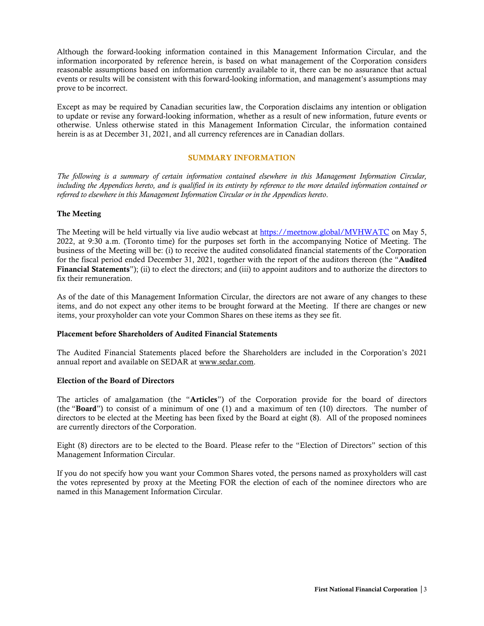Although the forward-looking information contained in this Management Information Circular, and the information incorporated by reference herein, is based on what management of the Corporation considers reasonable assumptions based on information currently available to it, there can be no assurance that actual events or results will be consistent with this forward-looking information, and management's assumptions may prove to be incorrect.

Except as may be required by Canadian securities law, the Corporation disclaims any intention or obligation to update or revise any forward-looking information, whether as a result of new information, future events or otherwise. Unless otherwise stated in this Management Information Circular, the information contained herein is as at December 31, 2021, and all currency references are in Canadian dollars.

#### SUMMARY INFORMATION

*The following is a summary of certain information contained elsewhere in this Management Information Circular, including the Appendices hereto, and is qualified in its entirety by reference to the more detailed information contained or referred to elsewhere in this Management Information Circular or in the Appendices hereto*.

#### The Meeting

The Meeting will be held virtually via live audio webcast at <https://meetnow.global/MVHWATC> on May 5, 2022, at 9:30 a.m. (Toronto time) for the purposes set forth in the accompanying Notice of Meeting. The business of the Meeting will be: (i) to receive the audited consolidated financial statements of the Corporation for the fiscal period ended December 31, 2021, together with the report of the auditors thereon (the "Audited Financial Statements"); (ii) to elect the directors; and (iii) to appoint auditors and to authorize the directors to fix their remuneration.

As of the date of this Management Information Circular, the directors are not aware of any changes to these items, and do not expect any other items to be brought forward at the Meeting. If there are changes or new items, your proxyholder can vote your Common Shares on these items as they see fit.

#### Placement before Shareholders of Audited Financial Statements

The Audited Financial Statements placed before the Shareholders are included in the Corporation's 2021 annual report and available on SEDAR at www.sedar.com.

#### Election of the Board of Directors

The articles of amalgamation (the "Articles") of the Corporation provide for the board of directors (the "Board") to consist of a minimum of one (1) and a maximum of ten (10) directors. The number of directors to be elected at the Meeting has been fixed by the Board at eight (8). All of the proposed nominees are currently directors of the Corporation.

Eight (8) directors are to be elected to the Board. Please refer to the "Election of Directors" section of this Management Information Circular.

If you do not specify how you want your Common Shares voted, the persons named as proxyholders will cast the votes represented by proxy at the Meeting FOR the election of each of the nominee directors who are named in this Management Information Circular.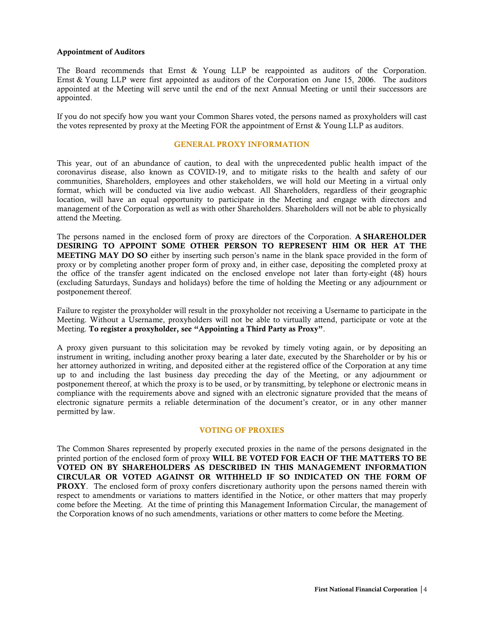#### Appointment of Auditors

The Board recommends that Ernst & Young LLP be reappointed as auditors of the Corporation. Ernst & Young LLP were first appointed as auditors of the Corporation on June 15, 2006. The auditors appointed at the Meeting will serve until the end of the next Annual Meeting or until their successors are appointed.

If you do not specify how you want your Common Shares voted, the persons named as proxyholders will cast the votes represented by proxy at the Meeting FOR the appointment of Ernst & Young LLP as auditors.

#### GENERAL PROXY INFORMATION

This year, out of an abundance of caution, to deal with the unprecedented public health impact of the coronavirus disease, also known as COVID-19, and to mitigate risks to the health and safety of our communities, Shareholders, employees and other stakeholders, we will hold our Meeting in a virtual only format, which will be conducted via live audio webcast. All Shareholders, regardless of their geographic location, will have an equal opportunity to participate in the Meeting and engage with directors and management of the Corporation as well as with other Shareholders. Shareholders will not be able to physically attend the Meeting.

The persons named in the enclosed form of proxy are directors of the Corporation. A SHAREHOLDER DESIRING TO APPOINT SOME OTHER PERSON TO REPRESENT HIM OR HER AT THE MEETING MAY DO SO either by inserting such person's name in the blank space provided in the form of proxy or by completing another proper form of proxy and, in either case, depositing the completed proxy at the office of the transfer agent indicated on the enclosed envelope not later than forty-eight (48) hours (excluding Saturdays, Sundays and holidays) before the time of holding the Meeting or any adjournment or postponement thereof.

Failure to register the proxyholder will result in the proxyholder not receiving a Username to participate in the Meeting. Without a Username, proxyholders will not be able to virtually attend, participate or vote at the Meeting. To register a proxyholder, see "Appointing a Third Party as Proxy".

A proxy given pursuant to this solicitation may be revoked by timely voting again, or by depositing an instrument in writing, including another proxy bearing a later date, executed by the Shareholder or by his or her attorney authorized in writing, and deposited either at the registered office of the Corporation at any time up to and including the last business day preceding the day of the Meeting, or any adjournment or postponement thereof, at which the proxy is to be used, or by transmitting, by telephone or electronic means in compliance with the requirements above and signed with an electronic signature provided that the means of electronic signature permits a reliable determination of the document's creator, or in any other manner permitted by law.

#### VOTING OF PROXIES

The Common Shares represented by properly executed proxies in the name of the persons designated in the printed portion of the enclosed form of proxy WILL BE VOTED FOR EACH OF THE MATTERS TO BE VOTED ON BY SHAREHOLDERS AS DESCRIBED IN THIS MANAGEMENT INFORMATION CIRCULAR OR VOTED AGAINST OR WITHHELD IF SO INDICATED ON THE FORM OF PROXY. The enclosed form of proxy confers discretionary authority upon the persons named therein with respect to amendments or variations to matters identified in the Notice, or other matters that may properly come before the Meeting. At the time of printing this Management Information Circular, the management of the Corporation knows of no such amendments, variations or other matters to come before the Meeting.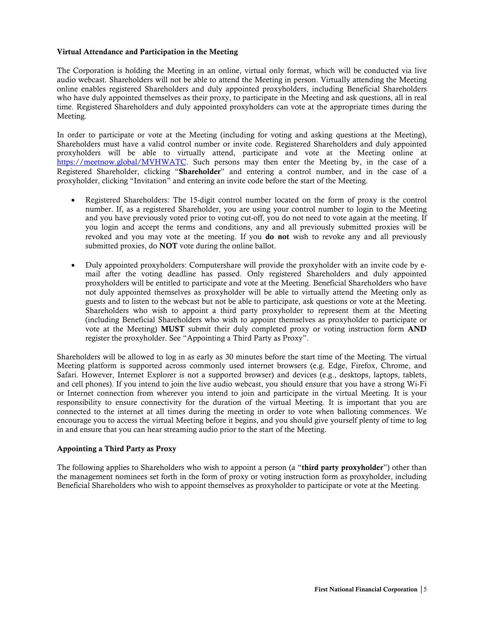#### Virtual Attendance and Participation in the Meeting

The Corporation is holding the Meeting in an online, virtual only format, which will be conducted via live audio webcast. Shareholders will not be able to attend the Meeting in person. Virtually attending the Meeting online enables registered Shareholders and duly appointed proxyholders, including Beneficial Shareholders who have duly appointed themselves as their proxy, to participate in the Meeting and ask questions, all in real time. Registered Shareholders and duly appointed proxyholders can vote at the appropriate times during the Meeting.

In order to participate or vote at the Meeting (including for voting and asking questions at the Meeting), Shareholders must have a valid control number or invite code. Registered Shareholders and duly appointed proxyholders will be able to virtually attend, participate and vote at the Meeting online at [https://meetnow.global/MVHWATC.](https://meetnow.global/MVHWATC) Such persons may then enter the Meeting by, in the case of a Registered Shareholder, clicking "Shareholder" and entering a control number, and in the case of a proxyholder, clicking "Invitation" and entering an invite code before the start of the Meeting.

- Registered Shareholders: The 15-digit control number located on the form of proxy is the control number. If, as a registered Shareholder, you are using your control number to login to the Meeting and you have previously voted prior to voting cut-off, you do not need to vote again at the meeting. If you login and accept the terms and conditions, any and all previously submitted proxies will be revoked and you may vote at the meeting. If you do not wish to revoke any and all previously submitted proxies, do **NOT** vote during the online ballot.
- Duly appointed proxyholders: Computershare will provide the proxyholder with an invite code by email after the voting deadline has passed. Only registered Shareholders and duly appointed proxyholders will be entitled to participate and vote at the Meeting. Beneficial Shareholders who have not duly appointed themselves as proxyholder will be able to virtually attend the Meeting only as guests and to listen to the webcast but not be able to participate, ask questions or vote at the Meeting. Shareholders who wish to appoint a third party proxyholder to represent them at the Meeting (including Beneficial Shareholders who wish to appoint themselves as proxyholder to participate or vote at the Meeting) MUST submit their duly completed proxy or voting instruction form AND register the proxyholder. See "Appointing a Third Party as Proxy".

Shareholders will be allowed to log in as early as 30 minutes before the start time of the Meeting. The virtual Meeting platform is supported across commonly used internet browsers (e.g. Edge, Firefox, Chrome, and Safari. However, Internet Explorer is not a supported browser) and devices (e.g., desktops, laptops, tablets, and cell phones). If you intend to join the live audio webcast, you should ensure that you have a strong Wi-Fi or Internet connection from wherever you intend to join and participate in the virtual Meeting. It is your responsibility to ensure connectivity for the duration of the virtual Meeting. It is important that you are connected to the internet at all times during the meeting in order to vote when balloting commences. We encourage you to access the virtual Meeting before it begins, and you should give yourself plenty of time to log in and ensure that you can hear streaming audio prior to the start of the Meeting.

#### Appointing a Third Party as Proxy

The following applies to Shareholders who wish to appoint a person (a "third party proxyholder") other than the management nominees set forth in the form of proxy or voting instruction form as proxyholder, including Beneficial Shareholders who wish to appoint themselves as proxyholder to participate or vote at the Meeting.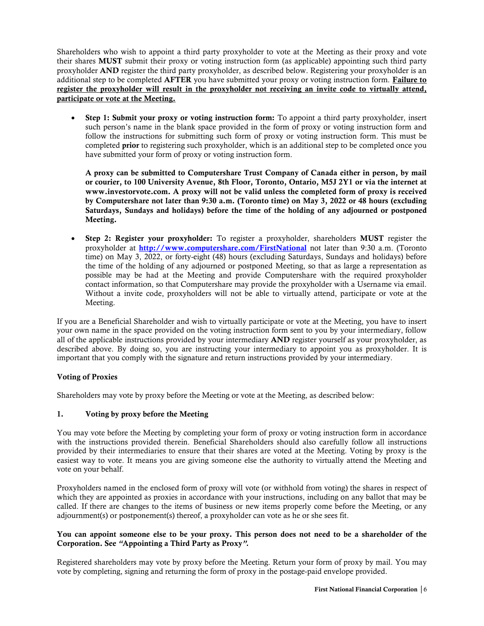Shareholders who wish to appoint a third party proxyholder to vote at the Meeting as their proxy and vote their shares MUST submit their proxy or voting instruction form (as applicable) appointing such third party proxyholder AND register the third party proxyholder, as described below. Registering your proxyholder is an additional step to be completed **AFTER** you have submitted your proxy or voting instruction form. Failure to register the proxyholder will result in the proxyholder not receiving an invite code to virtually attend, participate or vote at the Meeting.

Step 1: Submit your proxy or voting instruction form: To appoint a third party proxyholder, insert such person's name in the blank space provided in the form of proxy or voting instruction form and follow the instructions for submitting such form of proxy or voting instruction form. This must be completed prior to registering such proxyholder, which is an additional step to be completed once you have submitted your form of proxy or voting instruction form.

A proxy can be submitted to Computershare Trust Company of Canada either in person, by mail or courier, to 100 University Avenue, 8th Floor, Toronto, Ontario, M5J 2Y1 or via the internet at www.investorvote.com. A proxy will not be valid unless the completed form of proxy is received by Computershare not later than 9:30 a.m. (Toronto time) on May 3, 2022 or 48 hours (excluding Saturdays, Sundays and holidays) before the time of the holding of any adjourned or postponed Meeting.

• Step 2: Register your proxyholder: To register a proxyholder, shareholders MUST register the proxyholder at <http://www.computershare.com/FirstNational> not later than 9:30 a.m. (Toronto time) on May 3, 2022, or forty-eight (48) hours (excluding Saturdays, Sundays and holidays) before the time of the holding of any adjourned or postponed Meeting, so that as large a representation as possible may be had at the Meeting and provide Computershare with the required proxyholder contact information, so that Computershare may provide the proxyholder with a Username via email. Without a invite code, proxyholders will not be able to virtually attend, participate or vote at the Meeting.

If you are a Beneficial Shareholder and wish to virtually participate or vote at the Meeting, you have to insert your own name in the space provided on the voting instruction form sent to you by your intermediary, follow all of the applicable instructions provided by your intermediary AND register yourself as your proxyholder, as described above. By doing so, you are instructing your intermediary to appoint you as proxyholder. It is important that you comply with the signature and return instructions provided by your intermediary.

# Voting of Proxies

Shareholders may vote by proxy before the Meeting or vote at the Meeting, as described below:

#### 1. Voting by proxy before the Meeting

You may vote before the Meeting by completing your form of proxy or voting instruction form in accordance with the instructions provided therein. Beneficial Shareholders should also carefully follow all instructions provided by their intermediaries to ensure that their shares are voted at the Meeting. Voting by proxy is the easiest way to vote. It means you are giving someone else the authority to virtually attend the Meeting and vote on your behalf.

Proxyholders named in the enclosed form of proxy will vote (or withhold from voting) the shares in respect of which they are appointed as proxies in accordance with your instructions, including on any ballot that may be called. If there are changes to the items of business or new items properly come before the Meeting, or any adjournment(s) or postponement(s) thereof, a proxyholder can vote as he or she sees fit.

# You can appoint someone else to be your proxy. This person does not need to be a shareholder of the Corporation. See *"*Appointing a Third Party as Proxy*".*

Registered shareholders may vote by proxy before the Meeting. Return your form of proxy by mail. You may vote by completing, signing and returning the form of proxy in the postage-paid envelope provided.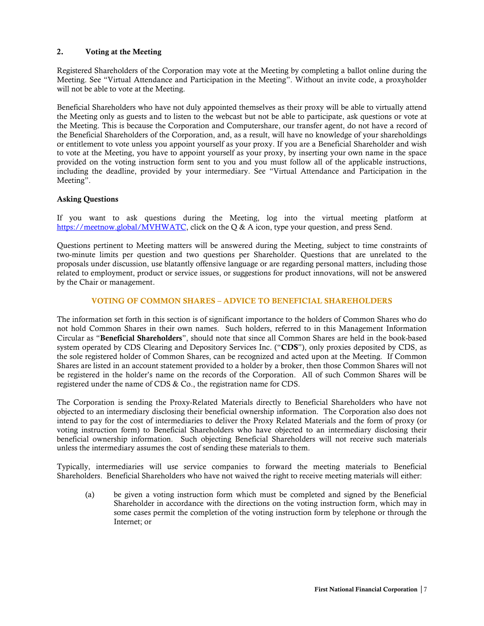# 2. Voting at the Meeting

Registered Shareholders of the Corporation may vote at the Meeting by completing a ballot online during the Meeting. See "Virtual Attendance and Participation in the Meeting". Without an invite code, a proxyholder will not be able to vote at the Meeting.

Beneficial Shareholders who have not duly appointed themselves as their proxy will be able to virtually attend the Meeting only as guests and to listen to the webcast but not be able to participate, ask questions or vote at the Meeting. This is because the Corporation and Computershare, our transfer agent, do not have a record of the Beneficial Shareholders of the Corporation, and, as a result, will have no knowledge of your shareholdings or entitlement to vote unless you appoint yourself as your proxy. If you are a Beneficial Shareholder and wish to vote at the Meeting, you have to appoint yourself as your proxy, by inserting your own name in the space provided on the voting instruction form sent to you and you must follow all of the applicable instructions, including the deadline, provided by your intermediary. See "Virtual Attendance and Participation in the Meeting".

#### Asking Questions

If you want to ask questions during the Meeting, log into the virtual meeting platform at [https://meetnow.global/MVHWATC,](https://meetnow.global/MVHWATC) click on the Q & A icon, type your question, and press Send.

Questions pertinent to Meeting matters will be answered during the Meeting, subject to time constraints of two-minute limits per question and two questions per Shareholder. Questions that are unrelated to the proposals under discussion, use blatantly offensive language or are regarding personal matters, including those related to employment, product or service issues, or suggestions for product innovations, will not be answered by the Chair or management.

# VOTING OF COMMON SHARES – ADVICE TO BENEFICIAL SHAREHOLDERS

The information set forth in this section is of significant importance to the holders of Common Shares who do not hold Common Shares in their own names. Such holders, referred to in this Management Information Circular as "Beneficial Shareholders", should note that since all Common Shares are held in the book-based system operated by CDS Clearing and Depository Services Inc. ("CDS"), only proxies deposited by CDS, as the sole registered holder of Common Shares, can be recognized and acted upon at the Meeting. If Common Shares are listed in an account statement provided to a holder by a broker, then those Common Shares will not be registered in the holder's name on the records of the Corporation. All of such Common Shares will be registered under the name of CDS & Co., the registration name for CDS.

The Corporation is sending the Proxy-Related Materials directly to Beneficial Shareholders who have not objected to an intermediary disclosing their beneficial ownership information. The Corporation also does not intend to pay for the cost of intermediaries to deliver the Proxy Related Materials and the form of proxy (or voting instruction form) to Beneficial Shareholders who have objected to an intermediary disclosing their beneficial ownership information. Such objecting Beneficial Shareholders will not receive such materials unless the intermediary assumes the cost of sending these materials to them.

Typically, intermediaries will use service companies to forward the meeting materials to Beneficial Shareholders. Beneficial Shareholders who have not waived the right to receive meeting materials will either:

(a) be given a voting instruction form which must be completed and signed by the Beneficial Shareholder in accordance with the directions on the voting instruction form, which may in some cases permit the completion of the voting instruction form by telephone or through the Internet; or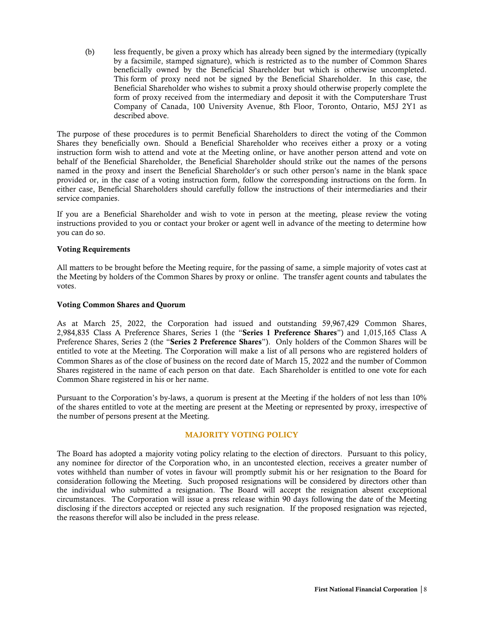(b) less frequently, be given a proxy which has already been signed by the intermediary (typically by a facsimile, stamped signature), which is restricted as to the number of Common Shares beneficially owned by the Beneficial Shareholder but which is otherwise uncompleted. This form of proxy need not be signed by the Beneficial Shareholder. In this case, the Beneficial Shareholder who wishes to submit a proxy should otherwise properly complete the form of proxy received from the intermediary and deposit it with the Computershare Trust Company of Canada, 100 University Avenue, 8th Floor, Toronto, Ontario, M5J 2Y1 as described above.

The purpose of these procedures is to permit Beneficial Shareholders to direct the voting of the Common Shares they beneficially own. Should a Beneficial Shareholder who receives either a proxy or a voting instruction form wish to attend and vote at the Meeting online, or have another person attend and vote on behalf of the Beneficial Shareholder, the Beneficial Shareholder should strike out the names of the persons named in the proxy and insert the Beneficial Shareholder's or such other person's name in the blank space provided or, in the case of a voting instruction form, follow the corresponding instructions on the form. In either case, Beneficial Shareholders should carefully follow the instructions of their intermediaries and their service companies.

If you are a Beneficial Shareholder and wish to vote in person at the meeting, please review the voting instructions provided to you or contact your broker or agent well in advance of the meeting to determine how you can do so.

#### Voting Requirements

All matters to be brought before the Meeting require, for the passing of same, a simple majority of votes cast at the Meeting by holders of the Common Shares by proxy or online. The transfer agent counts and tabulates the votes.

#### Voting Common Shares and Quorum

As at March 25, 2022, the Corporation had issued and outstanding 59,967,429 Common Shares, 2,984,835 Class A Preference Shares, Series 1 (the "Series 1 Preference Shares") and 1,015,165 Class A Preference Shares, Series 2 (the "Series 2 Preference Shares"). Only holders of the Common Shares will be entitled to vote at the Meeting. The Corporation will make a list of all persons who are registered holders of Common Shares as of the close of business on the record date of March 15, 2022 and the number of Common Shares registered in the name of each person on that date. Each Shareholder is entitled to one vote for each Common Share registered in his or her name.

Pursuant to the Corporation's by-laws, a quorum is present at the Meeting if the holders of not less than 10% of the shares entitled to vote at the meeting are present at the Meeting or represented by proxy, irrespective of the number of persons present at the Meeting.

# MAJORITY VOTING POLICY

The Board has adopted a majority voting policy relating to the election of directors. Pursuant to this policy, any nominee for director of the Corporation who, in an uncontested election, receives a greater number of votes withheld than number of votes in favour will promptly submit his or her resignation to the Board for consideration following the Meeting. Such proposed resignations will be considered by directors other than the individual who submitted a resignation. The Board will accept the resignation absent exceptional circumstances. The Corporation will issue a press release within 90 days following the date of the Meeting disclosing if the directors accepted or rejected any such resignation. If the proposed resignation was rejected, the reasons therefor will also be included in the press release.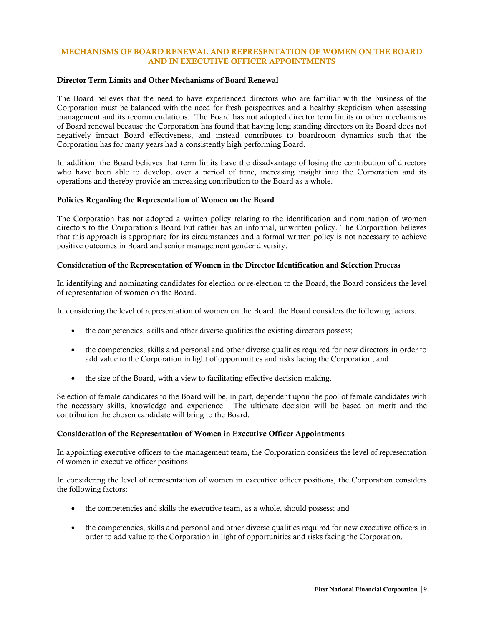# MECHANISMS OF BOARD RENEWAL AND REPRESENTATION OF WOMEN ON THE BOARD AND IN EXECUTIVE OFFICER APPOINTMENTS

#### Director Term Limits and Other Mechanisms of Board Renewal

The Board believes that the need to have experienced directors who are familiar with the business of the Corporation must be balanced with the need for fresh perspectives and a healthy skepticism when assessing management and its recommendations. The Board has not adopted director term limits or other mechanisms of Board renewal because the Corporation has found that having long standing directors on its Board does not negatively impact Board effectiveness, and instead contributes to boardroom dynamics such that the Corporation has for many years had a consistently high performing Board.

In addition, the Board believes that term limits have the disadvantage of losing the contribution of directors who have been able to develop, over a period of time, increasing insight into the Corporation and its operations and thereby provide an increasing contribution to the Board as a whole.

#### Policies Regarding the Representation of Women on the Board

The Corporation has not adopted a written policy relating to the identification and nomination of women directors to the Corporation's Board but rather has an informal, unwritten policy. The Corporation believes that this approach is appropriate for its circumstances and a formal written policy is not necessary to achieve positive outcomes in Board and senior management gender diversity.

#### Consideration of the Representation of Women in the Director Identification and Selection Process

In identifying and nominating candidates for election or re-election to the Board, the Board considers the level of representation of women on the Board.

In considering the level of representation of women on the Board, the Board considers the following factors:

- the competencies, skills and other diverse qualities the existing directors possess;
- the competencies, skills and personal and other diverse qualities required for new directors in order to add value to the Corporation in light of opportunities and risks facing the Corporation; and
- the size of the Board, with a view to facilitating effective decision-making.

Selection of female candidates to the Board will be, in part, dependent upon the pool of female candidates with the necessary skills, knowledge and experience. The ultimate decision will be based on merit and the contribution the chosen candidate will bring to the Board.

#### Consideration of the Representation of Women in Executive Officer Appointments

In appointing executive officers to the management team, the Corporation considers the level of representation of women in executive officer positions.

In considering the level of representation of women in executive officer positions, the Corporation considers the following factors:

- the competencies and skills the executive team, as a whole, should possess; and
- the competencies, skills and personal and other diverse qualities required for new executive officers in order to add value to the Corporation in light of opportunities and risks facing the Corporation.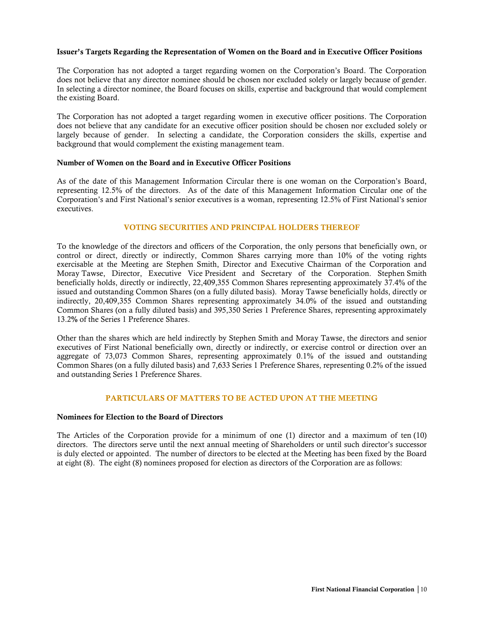#### Issuer's Targets Regarding the Representation of Women on the Board and in Executive Officer Positions

The Corporation has not adopted a target regarding women on the Corporation's Board. The Corporation does not believe that any director nominee should be chosen nor excluded solely or largely because of gender. In selecting a director nominee, the Board focuses on skills, expertise and background that would complement the existing Board.

The Corporation has not adopted a target regarding women in executive officer positions. The Corporation does not believe that any candidate for an executive officer position should be chosen nor excluded solely or largely because of gender. In selecting a candidate, the Corporation considers the skills, expertise and background that would complement the existing management team.

#### Number of Women on the Board and in Executive Officer Positions

As of the date of this Management Information Circular there is one woman on the Corporation's Board, representing 12.5% of the directors. As of the date of this Management Information Circular one of the Corporation's and First National's senior executives is a woman, representing 12.5% of First National's senior executives.

#### VOTING SECURITIES AND PRINCIPAL HOLDERS THEREOF

To the knowledge of the directors and officers of the Corporation, the only persons that beneficially own, or control or direct, directly or indirectly, Common Shares carrying more than 10% of the voting rights exercisable at the Meeting are Stephen Smith, Director and Executive Chairman of the Corporation and Moray Tawse, Director, Executive Vice President and Secretary of the Corporation. Stephen Smith beneficially holds, directly or indirectly, 22,409,355 Common Shares representing approximately 37.4% of the issued and outstanding Common Shares (on a fully diluted basis). Moray Tawse beneficially holds, directly or indirectly, 20,409,355 Common Shares representing approximately 34.0% of the issued and outstanding Common Shares (on a fully diluted basis) and 395,350 Series 1 Preference Shares, representing approximately 13.2% of the Series 1 Preference Shares.

Other than the shares which are held indirectly by Stephen Smith and Moray Tawse, the directors and senior executives of First National beneficially own, directly or indirectly, or exercise control or direction over an aggregate of 73,073 Common Shares, representing approximately 0.1% of the issued and outstanding Common Shares (on a fully diluted basis) and 7,633 Series 1 Preference Shares, representing 0.2% of the issued and outstanding Series 1 Preference Shares.

#### PARTICULARS OF MATTERS TO BE ACTED UPON AT THE MEETING

#### Nominees for Election to the Board of Directors

The Articles of the Corporation provide for a minimum of one (1) director and a maximum of ten (10) directors. The directors serve until the next annual meeting of Shareholders or until such director's successor is duly elected or appointed. The number of directors to be elected at the Meeting has been fixed by the Board at eight (8). The eight (8) nominees proposed for election as directors of the Corporation are as follows: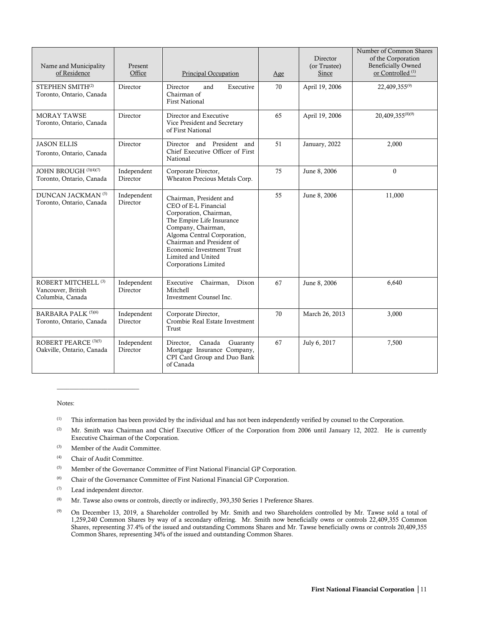| Name and Municipality<br>of Residence                                    | Present<br>Office       | Principal Occupation                                                                                                                                                                                                                                                       | Age | Director<br>(or Trustee)<br>Since | Number of Common Shares<br>of the Corporation<br>Beneficially Owned<br>or Controlled <sup>(1)</sup> |
|--------------------------------------------------------------------------|-------------------------|----------------------------------------------------------------------------------------------------------------------------------------------------------------------------------------------------------------------------------------------------------------------------|-----|-----------------------------------|-----------------------------------------------------------------------------------------------------|
| STEPHEN SMITH <sup>(2)</sup><br>Toronto, Ontario, Canada                 | Director                | Executive<br>Director<br>and<br>Chairman of<br><b>First National</b>                                                                                                                                                                                                       | 70  | April 19, 2006                    | 22,409,355(9)                                                                                       |
| <b>MORAY TAWSE</b><br>Toronto, Ontario, Canada                           | Director                | Director and Executive<br>Vice President and Secretary<br>of First National                                                                                                                                                                                                | 65  | April 19, 2006                    | 20,409,355(8)(9)                                                                                    |
| <b>JASON ELLIS</b><br>Toronto, Ontario, Canada                           | Director                | Director and President and<br>Chief Executive Officer of First<br>National                                                                                                                                                                                                 | 51  | January, 2022                     | 2,000                                                                                               |
| JOHN BROUGH (3)(4)(7)<br>Toronto, Ontario, Canada                        | Independent<br>Director | Corporate Director,<br>Wheaton Precious Metals Corp.                                                                                                                                                                                                                       | 75  | June 8, 2006                      | $\theta$                                                                                            |
| DUNCAN JACKMAN <sup>(5)</sup><br>Toronto, Ontario, Canada                | Independent<br>Director | Chairman, President and<br>CEO of E-L Financial<br>Corporation, Chairman,<br>The Empire Life Insurance<br>Company, Chairman,<br>Algoma Central Corporation,<br>Chairman and President of<br><b>Economic Investment Trust</b><br>Limited and United<br>Corporations Limited | 55  | June 8, 2006                      | 11,000                                                                                              |
| ROBERT MITCHELL <sup>(3)</sup><br>Vancouver, British<br>Columbia, Canada | Independent<br>Director | Executive<br>Chairman,<br>Dixon<br><b>Mitchell</b><br>Investment Counsel Inc.                                                                                                                                                                                              | 67  | June 8, 2006                      | 6,640                                                                                               |
| BARBARA PALK (5)(6)<br>Toronto, Ontario, Canada                          | Independent<br>Director | Corporate Director,<br>Crombie Real Estate Investment<br>Trust                                                                                                                                                                                                             | 70  | March 26, 2013                    | 3,000                                                                                               |
| ROBERT PEARCE (3)(5)<br>Oakville, Ontario, Canada                        | Independent<br>Director | Canada<br>Director,<br>Guaranty<br>Mortgage Insurance Company,<br>CPI Card Group and Duo Bank<br>of Canada                                                                                                                                                                 | 67  | July 6, 2017                      | 7,500                                                                                               |

#### Notes:

- (1) This information has been provided by the individual and has not been independently verified by counsel to the Corporation.
- (2) Mr. Smith was Chairman and Chief Executive Officer of the Corporation from 2006 until January 12, 2022. He is currently Executive Chairman of the Corporation.
- (3) Member of the Audit Committee.
- (4) Chair of Audit Committee.

\_\_\_\_\_\_\_\_\_\_\_\_\_\_\_\_\_\_\_\_\_\_\_\_\_\_

- (5) Member of the Governance Committee of First National Financial GP Corporation.
- (6) Chair of the Governance Committee of First National Financial GP Corporation.
- (7) Lead independent director.
- <sup>(8)</sup> Mr. Tawse also owns or controls, directly or indirectly, 393,350 Series 1 Preference Shares.
- (9) On December 13, 2019, a Shareholder controlled by Mr. Smith and two Shareholders controlled by Mr. Tawse sold a total of 1,259,240 Common Shares by way of a secondary offering. Mr. Smith now beneficially owns or controls 22,409,355 Common Shares, representing 37.4% of the issued and outstanding Commons Shares and Mr. Tawse beneficially owns or controls 20,409,355 Common Shares, representing 34% of the issued and outstanding Common Shares.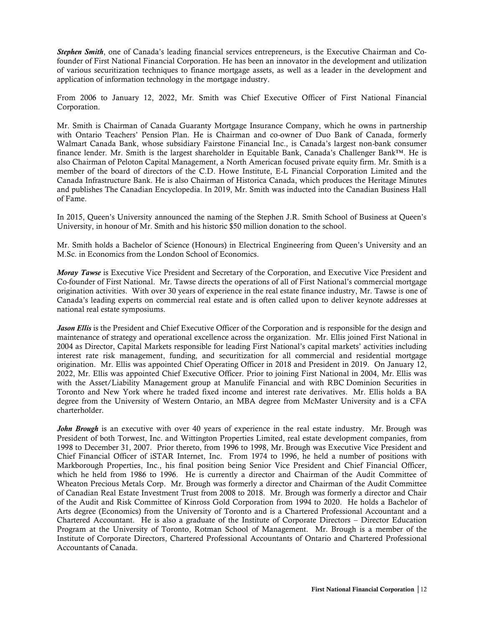*Stephen Smith*, one of Canada's leading financial services entrepreneurs, is the Executive Chairman and Cofounder of First National Financial Corporation. He has been an innovator in the development and utilization of various securitization techniques to finance mortgage assets, as well as a leader in the development and application of information technology in the mortgage industry.

From 2006 to January 12, 2022, Mr. Smith was Chief Executive Officer of First National Financial Corporation.

Mr. Smith is Chairman of Canada Guaranty Mortgage Insurance Company, which he owns in partnership with Ontario Teachers' Pension Plan. He is Chairman and co-owner of Duo Bank of Canada, formerly Walmart Canada Bank, whose subsidiary Fairstone Financial Inc., is Canada's largest non-bank consumer finance lender. Mr. Smith is the largest shareholder in Equitable Bank, Canada's Challenger Bank™. He is also Chairman of Peloton Capital Management, a North American focused private equity firm. Mr. Smith is a member of the board of directors of the C.D. Howe Institute, E-L Financial Corporation Limited and the Canada Infrastructure Bank. He is also Chairman of Historica Canada, which produces the Heritage Minutes and publishes The Canadian Encyclopedia. In 2019, Mr. Smith was inducted into the Canadian Business Hall of Fame.

In 2015, Queen's University announced the naming of the Stephen J.R. Smith School of Business at Queen's University, in honour of Mr. Smith and his historic \$50 million donation to the school.

Mr. Smith holds a Bachelor of Science (Honours) in Electrical Engineering from Queen's University and an M.Sc. in Economics from the London School of Economics.

*Moray Tawse* is Executive Vice President and Secretary of the Corporation, and Executive Vice President and Co-founder of First National. Mr. Tawse directs the operations of all of First National's commercial mortgage origination activities. With over 30 years of experience in the real estate finance industry, Mr. Tawse is one of Canada's leading experts on commercial real estate and is often called upon to deliver keynote addresses at national real estate symposiums.

*Jason Ellis* is the President and Chief Executive Officer of the Corporation and is responsible for the design and maintenance of strategy and operational excellence across the organization. Mr. Ellis joined First National in 2004 as Director, Capital Markets responsible for leading First National's capital markets' activities including interest rate risk management, funding, and securitization for all commercial and residential mortgage origination. Mr. Ellis was appointed Chief Operating Officer in 2018 and President in 2019. On January 12, 2022, Mr. Ellis was appointed Chief Executive Officer. Prior to joining First National in 2004, Mr. Ellis was with the Asset/Liability Management group at Manulife Financial and with RBC Dominion Securities in Toronto and New York where he traded fixed income and interest rate derivatives. Mr. Ellis holds a BA degree from the University of Western Ontario, an MBA degree from McMaster University and is a CFA charterholder.

*John Brough* is an executive with over 40 years of experience in the real estate industry. Mr. Brough was President of both Torwest, Inc. and Wittington Properties Limited, real estate development companies, from 1998 to December 31, 2007. Prior thereto, from 1996 to 1998, Mr. Brough was Executive Vice President and Chief Financial Officer of iSTAR Internet, Inc. From 1974 to 1996, he held a number of positions with Markborough Properties, Inc., his final position being Senior Vice President and Chief Financial Officer, which he held from 1986 to 1996. He is currently a director and Chairman of the Audit Committee of Wheaton Precious Metals Corp. Mr. Brough was formerly a director and Chairman of the Audit Committee of Canadian Real Estate Investment Trust from 2008 to 2018. Mr. Brough was formerly a director and Chair of the Audit and Risk Committee of Kinross Gold Corporation from 1994 to 2020. He holds a Bachelor of Arts degree (Economics) from the University of Toronto and is a Chartered Professional Accountant and a Chartered Accountant. He is also a graduate of the Institute of Corporate Directors – Director Education Program at the University of Toronto, Rotman School of Management. Mr. Brough is a member of the Institute of Corporate Directors, Chartered Professional Accountants of Ontario and Chartered Professional Accountants of Canada.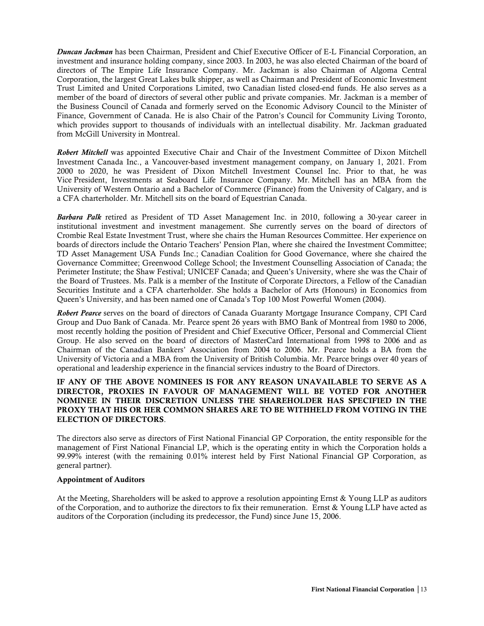*Duncan Jackman* has been Chairman, President and Chief Executive Officer of E-L Financial Corporation, an investment and insurance holding company, since 2003. In 2003, he was also elected Chairman of the board of directors of The Empire Life Insurance Company. Mr. Jackman is also Chairman of Algoma Central Corporation, the largest Great Lakes bulk shipper, as well as Chairman and President of Economic Investment Trust Limited and United Corporations Limited, two Canadian listed closed-end funds. He also serves as a member of the board of directors of several other public and private companies. Mr. Jackman is a member of the Business Council of Canada and formerly served on the Economic Advisory Council to the Minister of Finance, Government of Canada. He is also Chair of the Patron's Council for Community Living Toronto, which provides support to thousands of individuals with an intellectual disability. Mr. Jackman graduated from McGill University in Montreal.

*Robert Mitchell* was appointed Executive Chair and Chair of the Investment Committee of Dixon Mitchell Investment Canada Inc., a Vancouver-based investment management company, on January 1, 2021. From 2000 to 2020, he was President of Dixon Mitchell Investment Counsel Inc. Prior to that, he was Vice President, Investments at Seaboard Life Insurance Company. Mr. Mitchell has an MBA from the University of Western Ontario and a Bachelor of Commerce (Finance) from the University of Calgary, and is a CFA charterholder. Mr. Mitchell sits on the board of Equestrian Canada.

*Barbara Palk* retired as President of TD Asset Management Inc. in 2010, following a 30-year career in institutional investment and investment management. She currently serves on the board of directors of Crombie Real Estate Investment Trust, where she chairs the Human Resources Committee. Her experience on boards of directors include the Ontario Teachers' Pension Plan, where she chaired the Investment Committee; TD Asset Management USA Funds Inc.; Canadian Coalition for Good Governance, where she chaired the Governance Committee; Greenwood College School; the Investment Counselling Association of Canada; the Perimeter Institute; the Shaw Festival; UNICEF Canada; and Queen's University, where she was the Chair of the Board of Trustees. Ms. Palk is a member of the Institute of Corporate Directors, a Fellow of the Canadian Securities Institute and a CFA charterholder. She holds a Bachelor of Arts (Honours) in Economics from Queen's University, and has been named one of Canada's Top 100 Most Powerful Women (2004).

*Robert Pearce* serves on the board of directors of Canada Guaranty Mortgage Insurance Company, CPI Card Group and Duo Bank of Canada. Mr. Pearce spent 26 years with BMO Bank of Montreal from 1980 to 2006, most recently holding the position of President and Chief Executive Officer, Personal and Commercial Client Group. He also served on the board of directors of MasterCard International from 1998 to 2006 and as Chairman of the Canadian Bankers' Association from 2004 to 2006. Mr. Pearce holds a BA from the University of Victoria and a MBA from the University of British Columbia. Mr. Pearce brings over 40 years of operational and leadership experience in the financial services industry to the Board of Directors.

## IF ANY OF THE ABOVE NOMINEES IS FOR ANY REASON UNAVAILABLE TO SERVE AS A DIRECTOR, PROXIES IN FAVOUR OF MANAGEMENT WILL BE VOTED FOR ANOTHER NOMINEE IN THEIR DISCRETION UNLESS THE SHAREHOLDER HAS SPECIFIED IN THE PROXY THAT HIS OR HER COMMON SHARES ARE TO BE WITHHELD FROM VOTING IN THE ELECTION OF DIRECTORS.

The directors also serve as directors of First National Financial GP Corporation, the entity responsible for the management of First National Financial LP, which is the operating entity in which the Corporation holds a 99.99% interest (with the remaining 0.01% interest held by First National Financial GP Corporation, as general partner).

#### Appointment of Auditors

At the Meeting, Shareholders will be asked to approve a resolution appointing Ernst & Young LLP as auditors of the Corporation, and to authorize the directors to fix their remuneration. Ernst  $&$  Young LLP have acted as auditors of the Corporation (including its predecessor, the Fund) since June 15, 2006.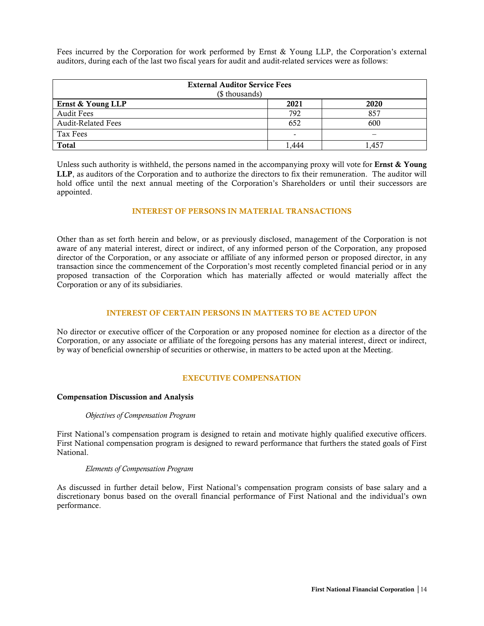Fees incurred by the Corporation for work performed by Ernst & Young LLP, the Corporation's external auditors, during each of the last two fiscal years for audit and audit-related services were as follows:

| <b>External Auditor Service Fees</b><br>(\$ thousands) |                          |      |  |  |
|--------------------------------------------------------|--------------------------|------|--|--|
| Ernst & Young LLP                                      | 2021                     | 2020 |  |  |
| <b>Audit Fees</b>                                      | 792                      | 857  |  |  |
| <b>Audit-Related Fees</b>                              | 652                      | 600  |  |  |
| <b>Tax Fees</b>                                        | $\overline{\phantom{a}}$ |      |  |  |
| <b>Total</b>                                           | .444                     | .457 |  |  |

Unless such authority is withheld, the persons named in the accompanying proxy will vote for **Ernst & Young** LLP, as auditors of the Corporation and to authorize the directors to fix their remuneration. The auditor will hold office until the next annual meeting of the Corporation's Shareholders or until their successors are appointed.

#### INTEREST OF PERSONS IN MATERIAL TRANSACTIONS

Other than as set forth herein and below, or as previously disclosed, management of the Corporation is not aware of any material interest, direct or indirect, of any informed person of the Corporation, any proposed director of the Corporation, or any associate or affiliate of any informed person or proposed director, in any transaction since the commencement of the Corporation's most recently completed financial period or in any proposed transaction of the Corporation which has materially affected or would materially affect the Corporation or any of its subsidiaries.

#### INTEREST OF CERTAIN PERSONS IN MATTERS TO BE ACTED UPON

No director or executive officer of the Corporation or any proposed nominee for election as a director of the Corporation, or any associate or affiliate of the foregoing persons has any material interest, direct or indirect, by way of beneficial ownership of securities or otherwise, in matters to be acted upon at the Meeting.

#### EXECUTIVE COMPENSATION

#### Compensation Discussion and Analysis

#### *Objectives of Compensation Program*

First National's compensation program is designed to retain and motivate highly qualified executive officers. First National compensation program is designed to reward performance that furthers the stated goals of First National.

#### *Elements of Compensation Program*

As discussed in further detail below, First National's compensation program consists of base salary and a discretionary bonus based on the overall financial performance of First National and the individual's own performance.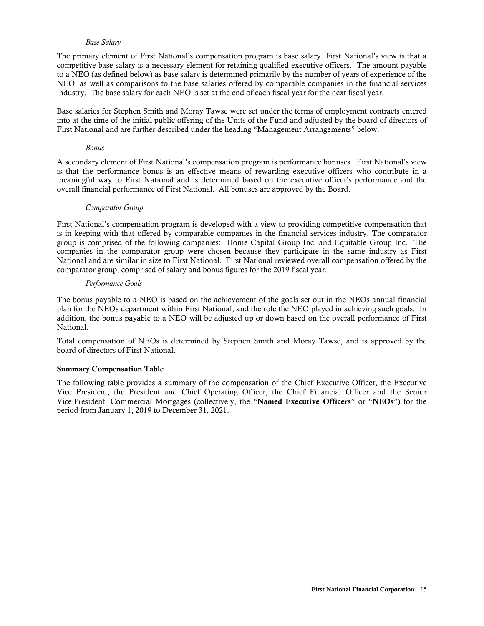#### *Base Salary*

The primary element of First National's compensation program is base salary. First National's view is that a competitive base salary is a necessary element for retaining qualified executive officers. The amount payable to a NEO (as defined below) as base salary is determined primarily by the number of years of experience of the NEO, as well as comparisons to the base salaries offered by comparable companies in the financial services industry. The base salary for each NEO is set at the end of each fiscal year for the next fiscal year.

Base salaries for Stephen Smith and Moray Tawse were set under the terms of employment contracts entered into at the time of the initial public offering of the Units of the Fund and adjusted by the board of directors of First National and are further described under the heading "Management Arrangements" below.

#### *Bonus*

A secondary element of First National's compensation program is performance bonuses. First National's view is that the performance bonus is an effective means of rewarding executive officers who contribute in a meaningful way to First National and is determined based on the executive officer's performance and the overall financial performance of First National. All bonuses are approved by the Board.

#### *Comparator Group*

First National's compensation program is developed with a view to providing competitive compensation that is in keeping with that offered by comparable companies in the financial services industry. The comparator group is comprised of the following companies: Home Capital Group Inc. and Equitable Group Inc. The companies in the comparator group were chosen because they participate in the same industry as First National and are similar in size to First National. First National reviewed overall compensation offered by the comparator group, comprised of salary and bonus figures for the 2019 fiscal year.

#### *Performance Goals*

The bonus payable to a NEO is based on the achievement of the goals set out in the NEOs annual financial plan for the NEOs department within First National, and the role the NEO played in achieving such goals. In addition, the bonus payable to a NEO will be adjusted up or down based on the overall performance of First National.

Total compensation of NEOs is determined by Stephen Smith and Moray Tawse, and is approved by the board of directors of First National.

#### Summary Compensation Table

The following table provides a summary of the compensation of the Chief Executive Officer, the Executive Vice President, the President and Chief Operating Officer, the Chief Financial Officer and the Senior Vice President, Commercial Mortgages (collectively, the "Named Executive Officers" or "NEOs") for the period from January 1, 2019 to December 31, 2021.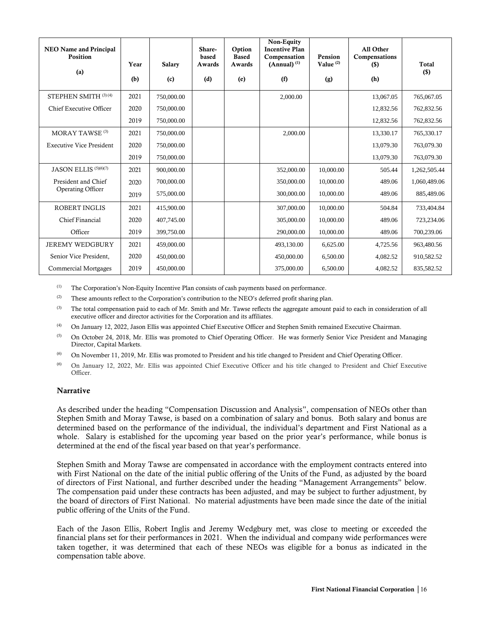| <b>NEO Name and Principal</b><br><b>Position</b> | Year | <b>Salary</b> | Share-<br>based<br>Awards | Option<br><b>Based</b><br>Awards | Non-Equity<br><b>Incentive Plan</b><br>Compensation<br>$(Annual)$ <sup>(1)</sup> | Pension<br>Value $(2)$ | All Other<br>Compensations<br>$($)$ | <b>Total</b> |
|--------------------------------------------------|------|---------------|---------------------------|----------------------------------|----------------------------------------------------------------------------------|------------------------|-------------------------------------|--------------|
| (a)                                              | (b)  | (c)           | (d)                       | (e)                              | (f)                                                                              | (g)                    | (h)                                 | $($)$        |
| STEPHEN SMITH (3)(4)                             | 2021 | 750,000.00    |                           |                                  | 2,000.00                                                                         |                        | 13,067.05                           | 765,067.05   |
| Chief Executive Officer                          | 2020 | 750,000.00    |                           |                                  |                                                                                  |                        | 12,832.56                           | 762,832.56   |
|                                                  | 2019 | 750,000.00    |                           |                                  |                                                                                  |                        | 12,832.56                           | 762,832.56   |
| MORAY TAWSE <sup>(3)</sup>                       | 2021 | 750,000.00    |                           |                                  | 2,000.00                                                                         |                        | 13,330.17                           | 765,330.17   |
| <b>Executive Vice President</b>                  | 2020 | 750,000.00    |                           |                                  |                                                                                  |                        | 13,079.30                           | 763,079.30   |
|                                                  | 2019 | 750,000.00    |                           |                                  |                                                                                  |                        | 13,079.30                           | 763,079.30   |
| JASON ELLIS <sup>(5)(6)(7)</sup>                 | 2021 | 900,000.00    |                           |                                  | 352,000.00                                                                       | 10,000.00              | 505.44                              | 1,262,505.44 |
| President and Chief                              | 2020 | 700,000.00    |                           |                                  | 350,000.00                                                                       | 10,000.00              | 489.06                              | 1,060,489.06 |
| Operating Officer                                | 2019 | 575,000.00    |                           |                                  | 300,000.00                                                                       | 10,000.00              | 489.06                              | 885,489.06   |
| <b>ROBERT INGLIS</b>                             | 2021 | 415,900.00    |                           |                                  | 307,000.00                                                                       | 10,000.00              | 504.84                              | 733,404.84   |
| Chief Financial                                  | 2020 | 407,745.00    |                           |                                  | 305,000.00                                                                       | 10,000.00              | 489.06                              | 723,234.06   |
| Officer                                          | 2019 | 399,750.00    |                           |                                  | 290,000.00                                                                       | 10,000.00              | 489.06                              | 700,239.06   |
| <b>JEREMY WEDGBURY</b>                           | 2021 | 459,000.00    |                           |                                  | 493,130.00                                                                       | 6,625.00               | 4,725.56                            | 963,480.56   |
| Senior Vice President,                           | 2020 | 450,000.00    |                           |                                  | 450,000.00                                                                       | 6,500.00               | 4,082.52                            | 910,582.52   |
| <b>Commercial Mortgages</b>                      | 2019 | 450,000.00    |                           |                                  | 375,000.00                                                                       | 6,500.00               | 4,082.52                            | 835,582.52   |

(1) The Corporation's Non-Equity Incentive Plan consists of cash payments based on performance.

 $(2)$  These amounts reflect to the Corporation's contribution to the NEO's deferred profit sharing plan.

<sup>(3)</sup> The total compensation paid to each of Mr. Smith and Mr. Tawse reflects the aggregate amount paid to each in consideration of all executive officer and director activities for the Corporation and its affiliates.

- (4) On January 12, 2022, Jason Ellis was appointed Chief Executive Officer and Stephen Smith remained Executive Chairman.
- <sup>(5)</sup> On October 24, 2018, Mr. Ellis was promoted to Chief Operating Officer. He was formerly Senior Vice President and Managing Director, Capital Markets.
- (6) On November 11, 2019, Mr. Ellis was promoted to President and his title changed to President and Chief Operating Officer.

(6) On January 12, 2022, Mr. Ellis was appointed Chief Executive Officer and his title changed to President and Chief Executive Officer.

#### **Narrative**

As described under the heading "Compensation Discussion and Analysis", compensation of NEOs other than Stephen Smith and Moray Tawse, is based on a combination of salary and bonus. Both salary and bonus are determined based on the performance of the individual, the individual's department and First National as a whole. Salary is established for the upcoming year based on the prior year's performance, while bonus is determined at the end of the fiscal year based on that year's performance.

Stephen Smith and Moray Tawse are compensated in accordance with the employment contracts entered into with First National on the date of the initial public offering of the Units of the Fund, as adjusted by the board of directors of First National, and further described under the heading "Management Arrangements" below. The compensation paid under these contracts has been adjusted, and may be subject to further adjustment, by the board of directors of First National. No material adjustments have been made since the date of the initial public offering of the Units of the Fund.

Each of the Jason Ellis, Robert Inglis and Jeremy Wedgbury met, was close to meeting or exceeded the financial plans set for their performances in 2021. When the individual and company wide performances were taken together, it was determined that each of these NEOs was eligible for a bonus as indicated in the compensation table above.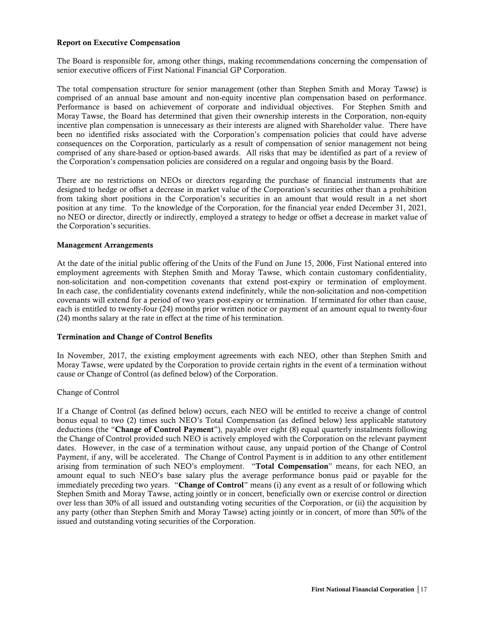#### Report on Executive Compensation

The Board is responsible for, among other things, making recommendations concerning the compensation of senior executive officers of First National Financial GP Corporation.

The total compensation structure for senior management (other than Stephen Smith and Moray Tawse) is comprised of an annual base amount and non-equity incentive plan compensation based on performance. Performance is based on achievement of corporate and individual objectives. For Stephen Smith and Moray Tawse, the Board has determined that given their ownership interests in the Corporation, non-equity incentive plan compensation is unnecessary as their interests are aligned with Shareholder value. There have been no identified risks associated with the Corporation's compensation policies that could have adverse consequences on the Corporation, particularly as a result of compensation of senior management not being comprised of any share-based or option-based awards. All risks that may be identified as part of a review of the Corporation's compensation policies are considered on a regular and ongoing basis by the Board.

There are no restrictions on NEOs or directors regarding the purchase of financial instruments that are designed to hedge or offset a decrease in market value of the Corporation's securities other than a prohibition from taking short positions in the Corporation's securities in an amount that would result in a net short position at any time. To the knowledge of the Corporation, for the financial year ended December 31, 2021, no NEO or director, directly or indirectly, employed a strategy to hedge or offset a decrease in market value of the Corporation's securities.

# Management Arrangements

At the date of the initial public offering of the Units of the Fund on June 15, 2006, First National entered into employment agreements with Stephen Smith and Moray Tawse, which contain customary confidentiality, non-solicitation and non-competition covenants that extend post-expiry or termination of employment. In each case, the confidentiality covenants extend indefinitely, while the non-solicitation and non-competition covenants will extend for a period of two years post-expiry or termination. If terminated for other than cause, each is entitled to twenty-four (24) months prior written notice or payment of an amount equal to twenty-four (24) months salary at the rate in effect at the time of his termination.

#### Termination and Change of Control Benefits

In November, 2017, the existing employment agreements with each NEO, other than Stephen Smith and Moray Tawse, were updated by the Corporation to provide certain rights in the event of a termination without cause or Change of Control (as defined below) of the Corporation.

#### Change of Control

If a Change of Control (as defined below) occurs, each NEO will be entitled to receive a change of control bonus equal to two (2) times such NEO's Total Compensation (as defined below) less applicable statutory deductions (the "Change of Control Payment"), payable over eight (8) equal quarterly instalments following the Change of Control provided such NEO is actively employed with the Corporation on the relevant payment dates. However, in the case of a termination without cause, any unpaid portion of the Change of Control Payment, if any, will be accelerated. The Change of Control Payment is in addition to any other entitlement arising from termination of such NEO's employment. "Total Compensation" means, for each NEO, an amount equal to such NEO's base salary plus the average performance bonus paid or payable for the immediately preceding two years. "Change of Control" means (i) any event as a result of or following which Stephen Smith and Moray Tawse, acting jointly or in concert, beneficially own or exercise control or direction over less than 30% of all issued and outstanding voting securities of the Corporation, or (ii) the acquisition by any party (other than Stephen Smith and Moray Tawse) acting jointly or in concert, of more than 50% of the issued and outstanding voting securities of the Corporation.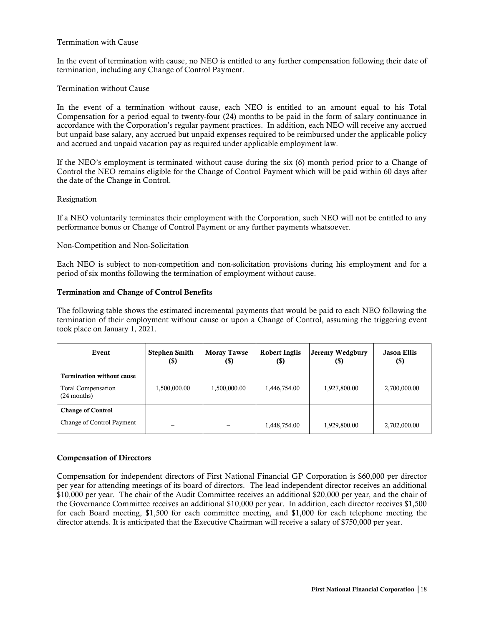#### Termination with Cause

In the event of termination with cause, no NEO is entitled to any further compensation following their date of termination, including any Change of Control Payment.

#### Termination without Cause

In the event of a termination without cause, each NEO is entitled to an amount equal to his Total Compensation for a period equal to twenty-four (24) months to be paid in the form of salary continuance in accordance with the Corporation's regular payment practices. In addition, each NEO will receive any accrued but unpaid base salary, any accrued but unpaid expenses required to be reimbursed under the applicable policy and accrued and unpaid vacation pay as required under applicable employment law.

If the NEO's employment is terminated without cause during the six (6) month period prior to a Change of Control the NEO remains eligible for the Change of Control Payment which will be paid within 60 days after the date of the Change in Control.

#### Resignation

If a NEO voluntarily terminates their employment with the Corporation, such NEO will not be entitled to any performance bonus or Change of Control Payment or any further payments whatsoever.

#### Non-Competition and Non-Solicitation

Each NEO is subject to non-competition and non-solicitation provisions during his employment and for a period of six months following the termination of employment without cause.

#### Termination and Change of Control Benefits

The following table shows the estimated incremental payments that would be paid to each NEO following the termination of their employment without cause or upon a Change of Control, assuming the triggering event took place on January 1, 2021.

| Event                                                                          | <b>Stephen Smith</b><br>(\$) | <b>Moray Tawse</b><br>(\$) | <b>Robert Inglis</b><br>$(\$)$ | Jeremy Wedgbury<br>(\$) | <b>Jason Ellis</b><br>$\left( \mathbb{S}\right)$ |
|--------------------------------------------------------------------------------|------------------------------|----------------------------|--------------------------------|-------------------------|--------------------------------------------------|
| <b>Termination without cause</b><br><b>Total Compensation</b><br>$(24$ months) | 1,500,000.00                 | 1,500,000.00               | 1,446,754.00                   | 1,927,800.00            | 2,700,000.00                                     |
| <b>Change of Control</b><br>Change of Control Payment                          | –                            |                            | 1,448,754.00                   | 1,929,800.00            | 2,702,000.00                                     |

#### Compensation of Directors

Compensation for independent directors of First National Financial GP Corporation is \$60,000 per director per year for attending meetings of its board of directors. The lead independent director receives an additional \$10,000 per year. The chair of the Audit Committee receives an additional \$20,000 per year, and the chair of the Governance Committee receives an additional \$10,000 per year. In addition, each director receives \$1,500 for each Board meeting, \$1,500 for each committee meeting, and \$1,000 for each telephone meeting the director attends. It is anticipated that the Executive Chairman will receive a salary of \$750,000 per year.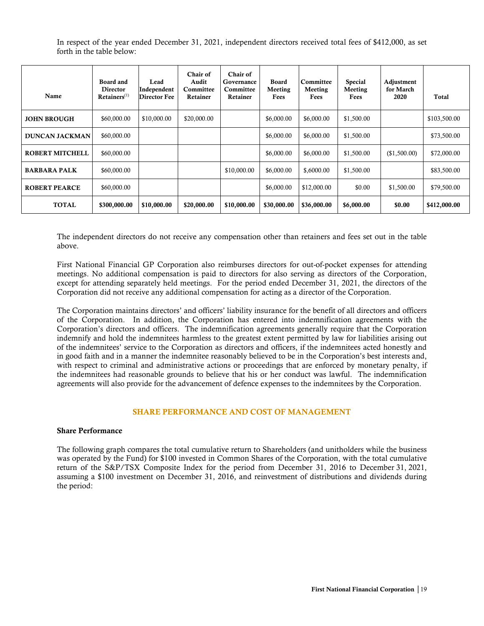In respect of the year ended December 31, 2021, independent directors received total fees of \$412,000, as set forth in the table below:

| Name                   | Board and<br><b>Director</b><br>$Retainers^{(1)}$ | Lead<br>Independent<br>Director Fee | Chair of<br>Audit<br>Committee<br>Retainer | Chair of<br>Governance<br>Committee<br>Retainer | <b>Board</b><br>Meeting<br>Fees | Committee<br>Meeting<br>Fees | <b>Special</b><br>Meeting<br>Fees | Adjustment<br>for March<br>2020 | Total        |
|------------------------|---------------------------------------------------|-------------------------------------|--------------------------------------------|-------------------------------------------------|---------------------------------|------------------------------|-----------------------------------|---------------------------------|--------------|
| <b>JOHN BROUGH</b>     | \$60,000.00                                       | \$10,000.00                         | \$20,000.00                                |                                                 | \$6,000.00                      | \$6,000.00                   | \$1,500.00                        |                                 | \$103,500.00 |
| <b>DUNCAN JACKMAN</b>  | \$60,000.00                                       |                                     |                                            |                                                 | \$6,000.00                      | \$6,000.00                   | \$1,500.00                        |                                 | \$73,500.00  |
| <b>ROBERT MITCHELL</b> | \$60,000.00                                       |                                     |                                            |                                                 | \$6,000.00                      | \$6,000.00                   | \$1,500.00                        | (\$1,500.00)                    | \$72,000.00  |
| <b>BARBARA PALK</b>    | \$60,000.00                                       |                                     |                                            | \$10,000.00                                     | \$6,000.00                      | \$,6000.00                   | \$1,500.00                        |                                 | \$83,500.00  |
| <b>ROBERT PEARCE</b>   | \$60,000.00                                       |                                     |                                            |                                                 | \$6,000.00                      | \$12,000.00                  | \$0.00                            | \$1,500.00                      | \$79,500.00  |
| <b>TOTAL</b>           | \$300,000.00                                      | \$10,000.00                         | \$20,000.00                                | \$10,000.00                                     | \$30,000.00                     | \$36,000.00                  | \$6,000.00                        | \$0.00                          | \$412,000.00 |

The independent directors do not receive any compensation other than retainers and fees set out in the table above.

First National Financial GP Corporation also reimburses directors for out-of-pocket expenses for attending meetings. No additional compensation is paid to directors for also serving as directors of the Corporation, except for attending separately held meetings. For the period ended December 31, 2021, the directors of the Corporation did not receive any additional compensation for acting as a director of the Corporation.

The Corporation maintains directors' and officers' liability insurance for the benefit of all directors and officers of the Corporation. In addition, the Corporation has entered into indemnification agreements with the Corporation's directors and officers. The indemnification agreements generally require that the Corporation indemnify and hold the indemnitees harmless to the greatest extent permitted by law for liabilities arising out of the indemnitees' service to the Corporation as directors and officers, if the indemnitees acted honestly and in good faith and in a manner the indemnitee reasonably believed to be in the Corporation's best interests and, with respect to criminal and administrative actions or proceedings that are enforced by monetary penalty, if the indemnitees had reasonable grounds to believe that his or her conduct was lawful. The indemnification agreements will also provide for the advancement of defence expenses to the indemnitees by the Corporation.

#### SHARE PERFORMANCE AND COST OF MANAGEMENT

#### Share Performance

The following graph compares the total cumulative return to Shareholders (and unitholders while the business was operated by the Fund) for \$100 invested in Common Shares of the Corporation, with the total cumulative return of the S&P/TSX Composite Index for the period from December 31, 2016 to December 31, 2021, assuming a \$100 investment on December 31, 2016, and reinvestment of distributions and dividends during the period: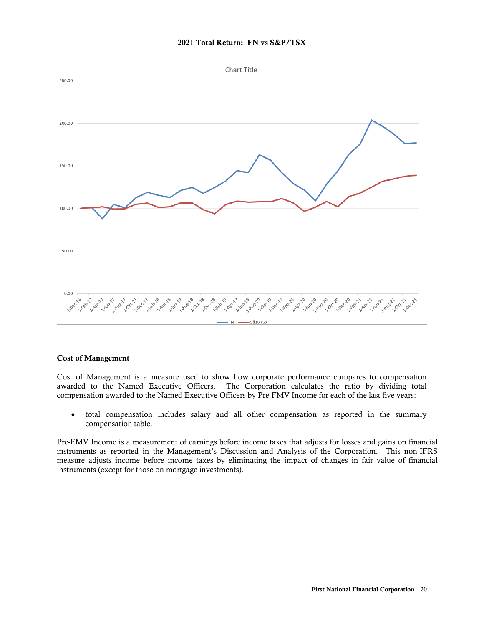

# 2021 Total Return: FN vs S&P/TSX

#### Cost of Management

Cost of Management is a measure used to show how corporate performance compares to compensation awarded to the Named Executive Officers. The Corporation calculates the ratio by dividing total compensation awarded to the Named Executive Officers by Pre-FMV Income for each of the last five years:

• total compensation includes salary and all other compensation as reported in the summary compensation table.

Pre-FMV Income is a measurement of earnings before income taxes that adjusts for losses and gains on financial instruments as reported in the Management's Discussion and Analysis of the Corporation. This non-IFRS measure adjusts income before income taxes by eliminating the impact of changes in fair value of financial instruments (except for those on mortgage investments).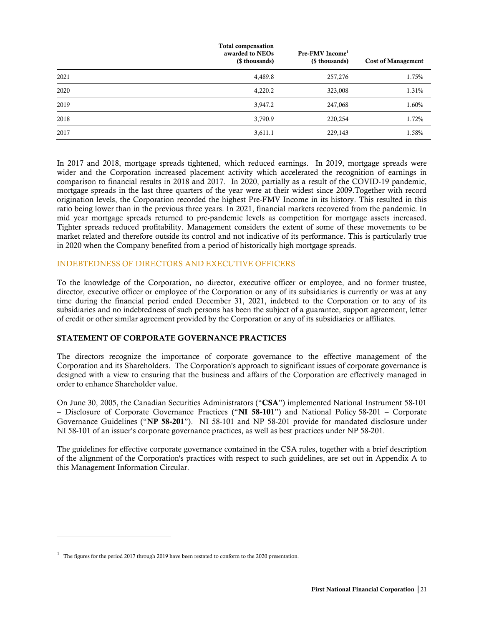|      | <b>Total compensation</b><br>awarded to NEOs<br>(\$ thousands) | Pre-FMV Income <sup>1</sup><br>(\$ thousands) | <b>Cost of Management</b> |
|------|----------------------------------------------------------------|-----------------------------------------------|---------------------------|
| 2021 | 4,489.8                                                        | 257,276                                       | 1.75%                     |
| 2020 | 4,220.2                                                        | 323,008                                       | 1.31%                     |
| 2019 | 3,947.2                                                        | 247,068                                       | 1.60%                     |
| 2018 | 3,790.9                                                        | 220,254                                       | 1.72%                     |
| 2017 | 3,611.1                                                        | 229,143                                       | 1.58%                     |

In 2017 and 2018, mortgage spreads tightened, which reduced earnings. In 2019, mortgage spreads were wider and the Corporation increased placement activity which accelerated the recognition of earnings in comparison to financial results in 2018 and 2017. In 2020, partially as a result of the COVID-19 pandemic, mortgage spreads in the last three quarters of the year were at their widest since 2009.Together with record origination levels, the Corporation recorded the highest Pre-FMV Income in its history. This resulted in this ratio being lower than in the previous three years. In 2021, financial markets recovered from the pandemic. In mid year mortgage spreads returned to pre-pandemic levels as competition for mortgage assets increased. Tighter spreads reduced profitability. Management considers the extent of some of these movements to be market related and therefore outside its control and not indicative of its performance. This is particularly true in 2020 when the Company benefited from a period of historically high mortgage spreads.

#### INDEBTEDNESS OF DIRECTORS AND EXECUTIVE OFFICERS

To the knowledge of the Corporation, no director, executive officer or employee, and no former trustee, director, executive officer or employee of the Corporation or any of its subsidiaries is currently or was at any time during the financial period ended December 31, 2021, indebted to the Corporation or to any of its subsidiaries and no indebtedness of such persons has been the subject of a guarantee, support agreement, letter of credit or other similar agreement provided by the Corporation or any of its subsidiaries or affiliates.

#### STATEMENT OF CORPORATE GOVERNANCE PRACTICES

The directors recognize the importance of corporate governance to the effective management of the Corporation and its Shareholders. The Corporation's approach to significant issues of corporate governance is designed with a view to ensuring that the business and affairs of the Corporation are effectively managed in order to enhance Shareholder value.

On June 30, 2005, the Canadian Securities Administrators ("CSA") implemented National Instrument 58-101 – Disclosure of Corporate Governance Practices ("NI 58-101") and National Policy 58-201 – Corporate Governance Guidelines ("NP 58-201"). NI 58-101 and NP 58-201 provide for mandated disclosure under NI 58-101 of an issuer's corporate governance practices, as well as best practices under NP 58-201.

The guidelines for effective corporate governance contained in the CSA rules, together with a brief description of the alignment of the Corporation's practices with respect to such guidelines, are set out in Appendix A to this Management Information Circular.

<sup>&</sup>lt;sup>1</sup> The figures for the period 2017 through 2019 have been restated to conform to the 2020 presentation.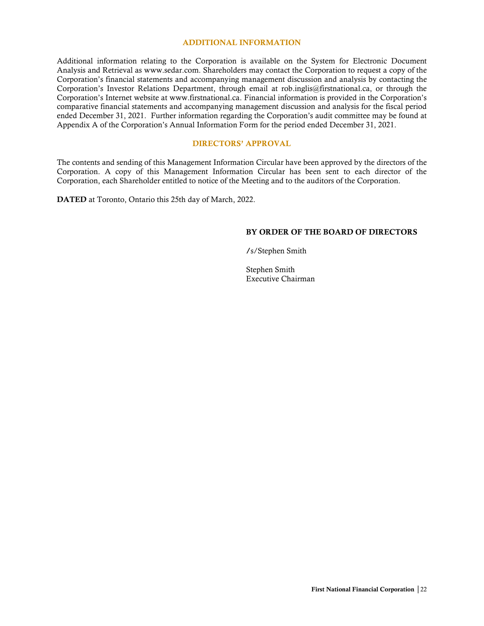#### ADDITIONAL INFORMATION

Additional information relating to the Corporation is available on the System for Electronic Document Analysis and Retrieval as www.sedar.com. Shareholders may contact the Corporation to request a copy of the Corporation's financial statements and accompanying management discussion and analysis by contacting the Corporation's Investor Relations Department, through email at rob.inglis@firstnational.ca, or through the Corporation's Internet website at www.firstnational.ca. Financial information is provided in the Corporation's comparative financial statements and accompanying management discussion and analysis for the fiscal period ended December 31, 2021. Further information regarding the Corporation's audit committee may be found at Appendix A of the Corporation's Annual Information Form for the period ended December 31, 2021.

# DIRECTORS' APPROVAL

The contents and sending of this Management Information Circular have been approved by the directors of the Corporation. A copy of this Management Information Circular has been sent to each director of the Corporation, each Shareholder entitled to notice of the Meeting and to the auditors of the Corporation.

DATED at Toronto, Ontario this 25th day of March, 2022.

#### BY ORDER OF THE BOARD OF DIRECTORS

/s/Stephen Smith

Stephen Smith Executive Chairman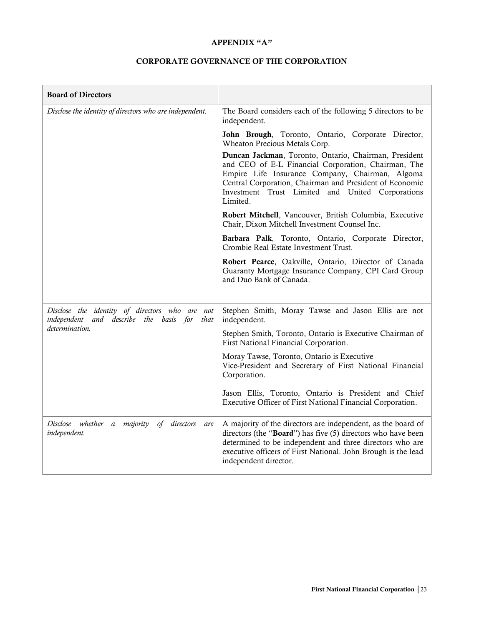## APPENDIX "A"

# CORPORATE GOVERNANCE OF THE CORPORATION

| <b>Board of Directors</b>                                                                     |                                                                                                                                                                                                                                                                                            |
|-----------------------------------------------------------------------------------------------|--------------------------------------------------------------------------------------------------------------------------------------------------------------------------------------------------------------------------------------------------------------------------------------------|
| Disclose the identity of directors who are independent.                                       | The Board considers each of the following 5 directors to be<br>independent.                                                                                                                                                                                                                |
|                                                                                               | John Brough, Toronto, Ontario, Corporate Director,<br>Wheaton Precious Metals Corp.                                                                                                                                                                                                        |
|                                                                                               | Duncan Jackman, Toronto, Ontario, Chairman, President<br>and CEO of E-L Financial Corporation, Chairman, The<br>Empire Life Insurance Company, Chairman, Algoma<br>Central Corporation, Chairman and President of Economic<br>Investment Trust Limited and United Corporations<br>Limited. |
|                                                                                               | Robert Mitchell, Vancouver, British Columbia, Executive<br>Chair, Dixon Mitchell Investment Counsel Inc.                                                                                                                                                                                   |
|                                                                                               | Barbara Palk, Toronto, Ontario, Corporate Director,<br>Crombie Real Estate Investment Trust.                                                                                                                                                                                               |
|                                                                                               | Robert Pearce, Oakville, Ontario, Director of Canada<br>Guaranty Mortgage Insurance Company, CPI Card Group<br>and Duo Bank of Canada.                                                                                                                                                     |
| Disclose the identity of directors who are not<br>independent and describe the basis for that | Stephen Smith, Moray Tawse and Jason Ellis are not<br>independent.                                                                                                                                                                                                                         |
| determination.                                                                                | Stephen Smith, Toronto, Ontario is Executive Chairman of<br>First National Financial Corporation.                                                                                                                                                                                          |
|                                                                                               | Moray Tawse, Toronto, Ontario is Executive<br>Vice-President and Secretary of First National Financial<br>Corporation.                                                                                                                                                                     |
|                                                                                               | Jason Ellis, Toronto, Ontario is President and Chief<br>Executive Officer of First National Financial Corporation.                                                                                                                                                                         |
| Disclose whether a majority<br>of directors<br>are<br>independent.                            | A majority of the directors are independent, as the board of<br>directors (the "Board") has five (5) directors who have been<br>determined to be independent and three directors who are<br>executive officers of First National. John Brough is the lead<br>independent director.         |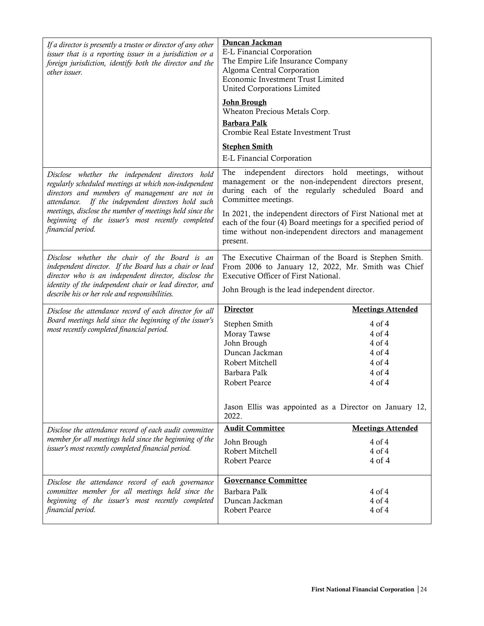| If a director is presently a trustee or director of any other<br>issuer that is a reporting issuer in a jurisdiction or a<br>foreign jurisdiction, identify both the director and the<br>other issuer.           | Duncan Jackman<br>E-L Financial Corporation<br>The Empire Life Insurance Company<br>Algoma Central Corporation<br>Economic Investment Trust Limited<br>United Corporations Limited                |                              |  |
|------------------------------------------------------------------------------------------------------------------------------------------------------------------------------------------------------------------|---------------------------------------------------------------------------------------------------------------------------------------------------------------------------------------------------|------------------------------|--|
|                                                                                                                                                                                                                  | <b>John Brough</b><br>Wheaton Precious Metals Corp.<br><b>Barbara Palk</b>                                                                                                                        |                              |  |
|                                                                                                                                                                                                                  | Crombie Real Estate Investment Trust                                                                                                                                                              |                              |  |
|                                                                                                                                                                                                                  | <b>Stephen Smith</b>                                                                                                                                                                              |                              |  |
|                                                                                                                                                                                                                  | <b>E-L Financial Corporation</b>                                                                                                                                                                  |                              |  |
| Disclose whether the independent directors hold<br>regularly scheduled meetings at which non-independent<br>directors and members of management are not in<br>attendance. If the independent directors hold such | The<br>independent directors<br>management or the non-independent directors present,<br>during each of the regularly scheduled Board and<br>Committee meetings.                                   | hold<br>without<br>meetings, |  |
| meetings, disclose the number of meetings held since the<br>beginning of the issuer's most recently completed<br>financial period.                                                                               | In 2021, the independent directors of First National met at<br>each of the four (4) Board meetings for a specified period of<br>time without non-independent directors and management<br>present. |                              |  |
| Disclose whether the chair of the Board is an<br>independent director. If the Board has a chair or lead<br>director who is an independent director, disclose the                                                 | The Executive Chairman of the Board is Stephen Smith.<br>From 2006 to January 12, 2022, Mr. Smith was Chief<br>Executive Officer of First National.                                               |                              |  |
| identity of the independent chair or lead director, and<br>describe his or her role and responsibilities.                                                                                                        | John Brough is the lead independent director.                                                                                                                                                     |                              |  |
| Disclose the attendance record of each director for all                                                                                                                                                          | <b>Director</b>                                                                                                                                                                                   | <b>Meetings Attended</b>     |  |
| Board meetings held since the beginning of the issuer's<br>most recently completed financial period.                                                                                                             | Stephen Smith                                                                                                                                                                                     | 4 of 4                       |  |
|                                                                                                                                                                                                                  | Moray Tawse                                                                                                                                                                                       | $4$ of $4$                   |  |
|                                                                                                                                                                                                                  | John Brough                                                                                                                                                                                       | $4$ of $4$                   |  |
|                                                                                                                                                                                                                  | Duncan Jackman                                                                                                                                                                                    | $4$ of $4$                   |  |
|                                                                                                                                                                                                                  | Robert Mitchell                                                                                                                                                                                   | $4$ of $4$                   |  |
|                                                                                                                                                                                                                  | Barbara Palk                                                                                                                                                                                      | $4$ of $4$                   |  |
|                                                                                                                                                                                                                  | <b>Robert Pearce</b>                                                                                                                                                                              | $4$ of $4$                   |  |
|                                                                                                                                                                                                                  | Jason Ellis was appointed as a Director on January 12,<br>2022.                                                                                                                                   |                              |  |
| Disclose the attendance record of each audit committee                                                                                                                                                           | <b>Audit Committee</b>                                                                                                                                                                            | <b>Meetings Attended</b>     |  |
| member for all meetings held since the beginning of the                                                                                                                                                          |                                                                                                                                                                                                   |                              |  |
|                                                                                                                                                                                                                  |                                                                                                                                                                                                   |                              |  |
| issuer's most recently completed financial period.                                                                                                                                                               | John Brough<br>Robert Mitchell                                                                                                                                                                    | 4 of 4<br>$4$ of $4$         |  |
|                                                                                                                                                                                                                  | <b>Robert Pearce</b>                                                                                                                                                                              | 4 of 4                       |  |
|                                                                                                                                                                                                                  | <b>Governance Committee</b>                                                                                                                                                                       |                              |  |
| Disclose the attendance record of each governance<br>committee member for all meetings held since the                                                                                                            | Barbara Palk                                                                                                                                                                                      | 4 of 4                       |  |
| beginning of the issuer's most recently completed                                                                                                                                                                | Duncan Jackman                                                                                                                                                                                    | $4$ of $4$                   |  |
| financial period.                                                                                                                                                                                                | Robert Pearce                                                                                                                                                                                     | 4 of 4                       |  |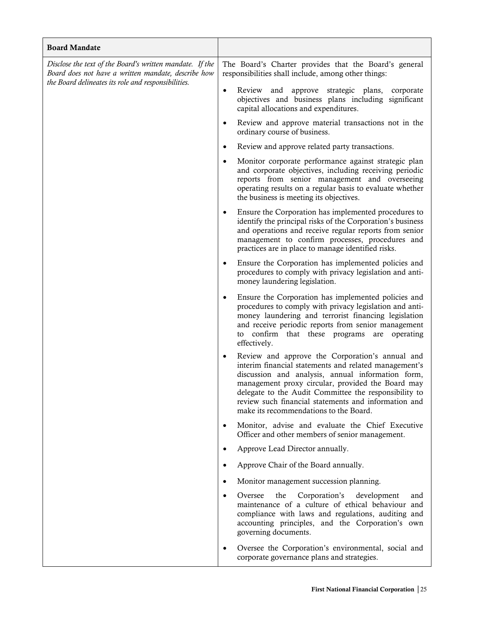| <b>Board Mandate</b>                                                                                                                                                   |                                                                                                                                                                                                                                                                                                                                                                               |
|------------------------------------------------------------------------------------------------------------------------------------------------------------------------|-------------------------------------------------------------------------------------------------------------------------------------------------------------------------------------------------------------------------------------------------------------------------------------------------------------------------------------------------------------------------------|
| Disclose the text of the Board's written mandate. If the<br>Board does not have a written mandate, describe how<br>the Board delineates its role and responsibilities. | The Board's Charter provides that the Board's general<br>responsibilities shall include, among other things:                                                                                                                                                                                                                                                                  |
|                                                                                                                                                                        | Review and approve strategic plans, corporate<br>objectives and business plans including significant<br>capital allocations and expenditures.                                                                                                                                                                                                                                 |
|                                                                                                                                                                        | Review and approve material transactions not in the<br>ordinary course of business.                                                                                                                                                                                                                                                                                           |
|                                                                                                                                                                        | Review and approve related party transactions.<br>$\bullet$                                                                                                                                                                                                                                                                                                                   |
|                                                                                                                                                                        | Monitor corporate performance against strategic plan<br>and corporate objectives, including receiving periodic<br>reports from senior management and overseeing<br>operating results on a regular basis to evaluate whether<br>the business is meeting its objectives.                                                                                                        |
|                                                                                                                                                                        | Ensure the Corporation has implemented procedures to<br>identify the principal risks of the Corporation's business<br>and operations and receive regular reports from senior<br>management to confirm processes, procedures and<br>practices are in place to manage identified risks.                                                                                         |
|                                                                                                                                                                        | Ensure the Corporation has implemented policies and<br>$\bullet$<br>procedures to comply with privacy legislation and anti-<br>money laundering legislation.                                                                                                                                                                                                                  |
|                                                                                                                                                                        | Ensure the Corporation has implemented policies and<br>$\bullet$<br>procedures to comply with privacy legislation and anti-<br>money laundering and terrorist financing legislation<br>and receive periodic reports from senior management<br>to confirm that these programs are operating<br>effectively.                                                                    |
|                                                                                                                                                                        | Review and approve the Corporation's annual and<br>interim financial statements and related management's<br>discussion and analysis, annual information form,<br>management proxy circular, provided the Board may<br>delegate to the Audit Committee the responsibility to<br>review such financial statements and information and<br>make its recommendations to the Board. |
|                                                                                                                                                                        | Monitor, advise and evaluate the Chief Executive<br>$\bullet$<br>Officer and other members of senior management.                                                                                                                                                                                                                                                              |
|                                                                                                                                                                        | Approve Lead Director annually.<br>$\bullet$                                                                                                                                                                                                                                                                                                                                  |
|                                                                                                                                                                        | Approve Chair of the Board annually.<br>$\bullet$                                                                                                                                                                                                                                                                                                                             |
|                                                                                                                                                                        | Monitor management succession planning.<br>$\bullet$                                                                                                                                                                                                                                                                                                                          |
|                                                                                                                                                                        | Corporation's<br>development<br>Oversee<br>the<br>and<br>$\bullet$<br>maintenance of a culture of ethical behaviour and<br>compliance with laws and regulations, auditing and<br>accounting principles, and the Corporation's own<br>governing documents.                                                                                                                     |
|                                                                                                                                                                        | Oversee the Corporation's environmental, social and<br>$\bullet$<br>corporate governance plans and strategies.                                                                                                                                                                                                                                                                |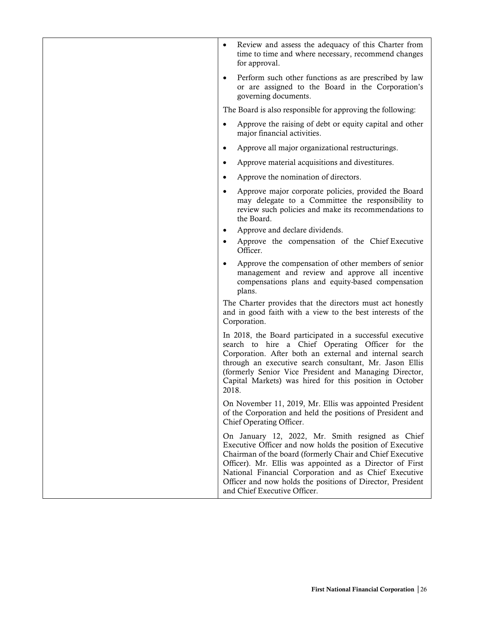| Review and assess the adequacy of this Charter from<br>time to time and where necessary, recommend changes<br>for approval.                                                                                                                                                                                                                                                                   |
|-----------------------------------------------------------------------------------------------------------------------------------------------------------------------------------------------------------------------------------------------------------------------------------------------------------------------------------------------------------------------------------------------|
| Perform such other functions as are prescribed by law<br>$\bullet$<br>or are assigned to the Board in the Corporation's<br>governing documents.                                                                                                                                                                                                                                               |
| The Board is also responsible for approving the following:                                                                                                                                                                                                                                                                                                                                    |
| Approve the raising of debt or equity capital and other<br>$\bullet$<br>major financial activities.                                                                                                                                                                                                                                                                                           |
| Approve all major organizational restructurings.<br>$\bullet$                                                                                                                                                                                                                                                                                                                                 |
| Approve material acquisitions and divestitures.<br>$\bullet$                                                                                                                                                                                                                                                                                                                                  |
| Approve the nomination of directors.                                                                                                                                                                                                                                                                                                                                                          |
| Approve major corporate policies, provided the Board<br>$\bullet$<br>may delegate to a Committee the responsibility to<br>review such policies and make its recommendations to<br>the Board.                                                                                                                                                                                                  |
| Approve and declare dividends.                                                                                                                                                                                                                                                                                                                                                                |
| Approve the compensation of the Chief Executive<br>Officer.                                                                                                                                                                                                                                                                                                                                   |
| Approve the compensation of other members of senior<br>management and review and approve all incentive<br>compensations plans and equity-based compensation<br>plans.                                                                                                                                                                                                                         |
| The Charter provides that the directors must act honestly<br>and in good faith with a view to the best interests of the<br>Corporation.                                                                                                                                                                                                                                                       |
| In 2018, the Board participated in a successful executive<br>search to hire a Chief Operating Officer for the<br>Corporation. After both an external and internal search<br>through an executive search consultant, Mr. Jason Ellis<br>(formerly Senior Vice President and Managing Director,<br>Capital Markets) was hired for this position in October<br>2018.                             |
| On November 11, 2019, Mr. Ellis was appointed President<br>of the Corporation and held the positions of President and<br>Chief Operating Officer.                                                                                                                                                                                                                                             |
| On January 12, 2022, Mr. Smith resigned as Chief<br>Executive Officer and now holds the position of Executive<br>Chairman of the board (formerly Chair and Chief Executive<br>Officer). Mr. Ellis was appointed as a Director of First<br>National Financial Corporation and as Chief Executive<br>Officer and now holds the positions of Director, President<br>and Chief Executive Officer. |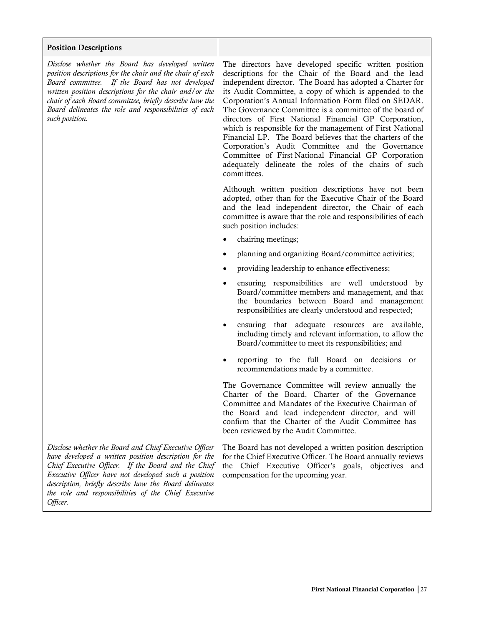| <b>Position Descriptions</b>                                                                                                                                                                                                                                                                                                                                      |                                                                                                                                                                                                                                                                                                                                                                                                                                                                                                                                                                                                                                                                                                                                  |
|-------------------------------------------------------------------------------------------------------------------------------------------------------------------------------------------------------------------------------------------------------------------------------------------------------------------------------------------------------------------|----------------------------------------------------------------------------------------------------------------------------------------------------------------------------------------------------------------------------------------------------------------------------------------------------------------------------------------------------------------------------------------------------------------------------------------------------------------------------------------------------------------------------------------------------------------------------------------------------------------------------------------------------------------------------------------------------------------------------------|
| Disclose whether the Board has developed written<br>position descriptions for the chair and the chair of each<br>Board committee. If the Board has not developed<br>written position descriptions for the chair and/or the<br>chair of each Board committee, briefly describe how the<br>Board delineates the role and responsibilities of each<br>such position. | The directors have developed specific written position<br>descriptions for the Chair of the Board and the lead<br>independent director. The Board has adopted a Charter for<br>its Audit Committee, a copy of which is appended to the<br>Corporation's Annual Information Form filed on SEDAR.<br>The Governance Committee is a committee of the board of<br>directors of First National Financial GP Corporation,<br>which is responsible for the management of First National<br>Financial LP. The Board believes that the charters of the<br>Corporation's Audit Committee and the Governance<br>Committee of First National Financial GP Corporation<br>adequately delineate the roles of the chairs of such<br>committees. |
|                                                                                                                                                                                                                                                                                                                                                                   | Although written position descriptions have not been<br>adopted, other than for the Executive Chair of the Board<br>and the lead independent director, the Chair of each<br>committee is aware that the role and responsibilities of each<br>such position includes:                                                                                                                                                                                                                                                                                                                                                                                                                                                             |
|                                                                                                                                                                                                                                                                                                                                                                   | chairing meetings;<br>٠                                                                                                                                                                                                                                                                                                                                                                                                                                                                                                                                                                                                                                                                                                          |
|                                                                                                                                                                                                                                                                                                                                                                   | planning and organizing Board/committee activities;<br>٠                                                                                                                                                                                                                                                                                                                                                                                                                                                                                                                                                                                                                                                                         |
|                                                                                                                                                                                                                                                                                                                                                                   | providing leadership to enhance effectiveness;<br>$\bullet$                                                                                                                                                                                                                                                                                                                                                                                                                                                                                                                                                                                                                                                                      |
|                                                                                                                                                                                                                                                                                                                                                                   | ensuring responsibilities are well understood by<br>٠<br>Board/committee members and management, and that<br>the boundaries between Board and management<br>responsibilities are clearly understood and respected;                                                                                                                                                                                                                                                                                                                                                                                                                                                                                                               |
|                                                                                                                                                                                                                                                                                                                                                                   | ensuring that adequate resources are available,<br>$\bullet$<br>including timely and relevant information, to allow the<br>Board/committee to meet its responsibilities; and                                                                                                                                                                                                                                                                                                                                                                                                                                                                                                                                                     |
|                                                                                                                                                                                                                                                                                                                                                                   | reporting to the full Board on decisions or<br>recommendations made by a committee.                                                                                                                                                                                                                                                                                                                                                                                                                                                                                                                                                                                                                                              |
|                                                                                                                                                                                                                                                                                                                                                                   | The Governance Committee will review annually the<br>Charter of the Board, Charter of the Governance<br>Committee and Mandates of the Executive Chairman of<br>the Board and lead independent director, and will<br>confirm that the Charter of the Audit Committee has<br>been reviewed by the Audit Committee.                                                                                                                                                                                                                                                                                                                                                                                                                 |
| Disclose whether the Board and Chief Executive Officer<br>have developed a written position description for the<br>Chief Executive Officer. If the Board and the Chief<br>Executive Officer have not developed such a position<br>description, briefly describe how the Board delineates<br>the role and responsibilities of the Chief Executive<br>Officer.      | The Board has not developed a written position description<br>for the Chief Executive Officer. The Board annually reviews<br>the Chief Executive Officer's goals, objectives and<br>compensation for the upcoming year.                                                                                                                                                                                                                                                                                                                                                                                                                                                                                                          |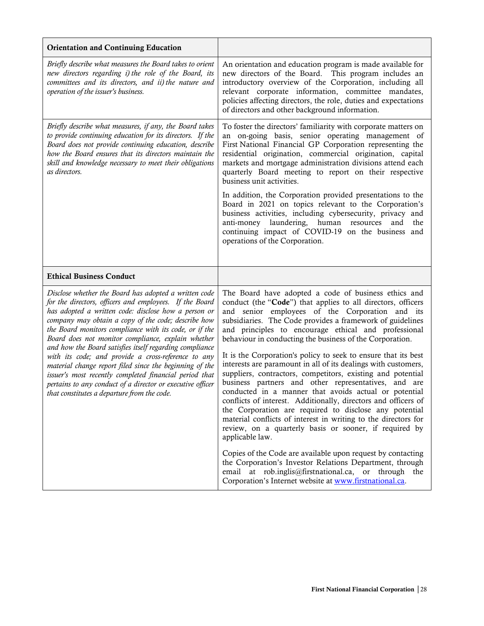| <b>Orientation and Continuing Education</b>                                                                                                                                                                                                                                                                                                                                                                                                                                                                                                                                                                                                                                                         |                                                                                                                                                                                                                                                                                                                                                                                                                                                                                                                                                                                                                                                                                                                                                                                                                                                                                                                                                                                                                        |
|-----------------------------------------------------------------------------------------------------------------------------------------------------------------------------------------------------------------------------------------------------------------------------------------------------------------------------------------------------------------------------------------------------------------------------------------------------------------------------------------------------------------------------------------------------------------------------------------------------------------------------------------------------------------------------------------------------|------------------------------------------------------------------------------------------------------------------------------------------------------------------------------------------------------------------------------------------------------------------------------------------------------------------------------------------------------------------------------------------------------------------------------------------------------------------------------------------------------------------------------------------------------------------------------------------------------------------------------------------------------------------------------------------------------------------------------------------------------------------------------------------------------------------------------------------------------------------------------------------------------------------------------------------------------------------------------------------------------------------------|
| Briefly describe what measures the Board takes to orient<br>new directors regarding i) the role of the Board, its<br>committees and its directors, and ii) the nature and<br>operation of the issuer's business.                                                                                                                                                                                                                                                                                                                                                                                                                                                                                    | An orientation and education program is made available for<br>new directors of the Board. This program includes an<br>introductory overview of the Corporation, including all<br>relevant corporate information, committee mandates,<br>policies affecting directors, the role, duties and expectations<br>of directors and other background information.                                                                                                                                                                                                                                                                                                                                                                                                                                                                                                                                                                                                                                                              |
| Briefly describe what measures, if any, the Board takes<br>to provide continuing education for its directors. If the<br>Board does not provide continuing education, describe<br>how the Board ensures that its directors maintain the<br>skill and knowledge necessary to meet their obligations<br>as directors.                                                                                                                                                                                                                                                                                                                                                                                  | To foster the directors' familiarity with corporate matters on<br>an on-going basis, senior operating management of<br>First National Financial GP Corporation representing the<br>residential origination, commercial origination, capital<br>markets and mortgage administration divisions attend each<br>quarterly Board meeting to report on their respective<br>business unit activities.<br>In addition, the Corporation provided presentations to the<br>Board in 2021 on topics relevant to the Corporation's<br>business activities, including cybersecurity, privacy and<br>anti-money laundering, human resources<br>and<br>the<br>continuing impact of COVID-19 on the business and<br>operations of the Corporation.                                                                                                                                                                                                                                                                                      |
|                                                                                                                                                                                                                                                                                                                                                                                                                                                                                                                                                                                                                                                                                                     |                                                                                                                                                                                                                                                                                                                                                                                                                                                                                                                                                                                                                                                                                                                                                                                                                                                                                                                                                                                                                        |
| <b>Ethical Business Conduct</b>                                                                                                                                                                                                                                                                                                                                                                                                                                                                                                                                                                                                                                                                     |                                                                                                                                                                                                                                                                                                                                                                                                                                                                                                                                                                                                                                                                                                                                                                                                                                                                                                                                                                                                                        |
| Disclose whether the Board has adopted a written code<br>for the directors, officers and employees. If the Board<br>has adopted a written code: disclose how a person or<br>company may obtain a copy of the code; describe how<br>the Board monitors compliance with its code, or if the<br>Board does not monitor compliance, explain whether<br>and how the Board satisfies itself regarding compliance<br>with its code; and provide a cross-reference to any<br>material change report filed since the beginning of the<br>issuer's most recently completed financial period that<br>pertains to any conduct of a director or executive officer<br>that constitutes a departure from the code. | The Board have adopted a code of business ethics and<br>conduct (the "Code") that applies to all directors, officers<br>and senior employees of the Corporation and its<br>subsidiaries. The Code provides a framework of guidelines<br>and principles to encourage ethical and professional<br>behaviour in conducting the business of the Corporation.<br>It is the Corporation's policy to seek to ensure that its best<br>interests are paramount in all of its dealings with customers,<br>suppliers, contractors, competitors, existing and potential<br>business partners and other representatives, and are<br>conducted in a manner that avoids actual or potential<br>conflicts of interest. Additionally, directors and officers of<br>the Corporation are required to disclose any potential<br>material conflicts of interest in writing to the directors for<br>review, on a quarterly basis or sooner, if required by<br>applicable law.<br>Copies of the Code are available upon request by contacting |
|                                                                                                                                                                                                                                                                                                                                                                                                                                                                                                                                                                                                                                                                                                     |                                                                                                                                                                                                                                                                                                                                                                                                                                                                                                                                                                                                                                                                                                                                                                                                                                                                                                                                                                                                                        |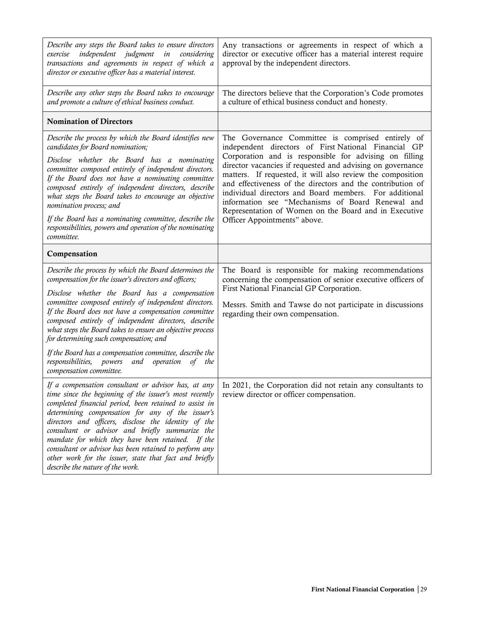| Describe any steps the Board takes to ensure directors<br>independent judgment in<br>exercise<br>considering<br>transactions and agreements in respect of which a<br>director or executive officer has a material interest.                                                                                                                                                                                                                                                                                                                         | Any transactions or agreements in respect of which a<br>director or executive officer has a material interest require<br>approval by the independent directors.                                                                                                                                 |
|-----------------------------------------------------------------------------------------------------------------------------------------------------------------------------------------------------------------------------------------------------------------------------------------------------------------------------------------------------------------------------------------------------------------------------------------------------------------------------------------------------------------------------------------------------|-------------------------------------------------------------------------------------------------------------------------------------------------------------------------------------------------------------------------------------------------------------------------------------------------|
| Describe any other steps the Board takes to encourage<br>and promote a culture of ethical business conduct.                                                                                                                                                                                                                                                                                                                                                                                                                                         | The directors believe that the Corporation's Code promotes<br>a culture of ethical business conduct and honesty.                                                                                                                                                                                |
| <b>Nomination of Directors</b>                                                                                                                                                                                                                                                                                                                                                                                                                                                                                                                      |                                                                                                                                                                                                                                                                                                 |
| Describe the process by which the Board identifies new<br>candidates for Board nomination;<br>Disclose whether the Board has a nominating<br>committee composed entirely of independent directors.                                                                                                                                                                                                                                                                                                                                                  | The Governance Committee is comprised entirely of<br>independent directors of First National Financial GP<br>Corporation and is responsible for advising on filling<br>director vacancies if requested and advising on governance<br>matters. If requested, it will also review the composition |
| If the Board does not have a nominating committee<br>composed entirely of independent directors, describe<br>what steps the Board takes to encourage an objective<br>nomination process; and                                                                                                                                                                                                                                                                                                                                                        | and effectiveness of the directors and the contribution of<br>individual directors and Board members. For additional<br>information see "Mechanisms of Board Renewal and<br>Representation of Women on the Board and in Executive<br>Officer Appointments" above.                               |
| If the Board has a nominating committee, describe the<br>responsibilities, powers and operation of the nominating<br>committee.                                                                                                                                                                                                                                                                                                                                                                                                                     |                                                                                                                                                                                                                                                                                                 |
| Compensation                                                                                                                                                                                                                                                                                                                                                                                                                                                                                                                                        |                                                                                                                                                                                                                                                                                                 |
| Describe the process by which the Board determines the<br>compensation for the issuer's directors and officers;                                                                                                                                                                                                                                                                                                                                                                                                                                     | The Board is responsible for making recommendations<br>concerning the compensation of senior executive officers of<br>First National Financial GP Corporation.<br>Messrs. Smith and Tawse do not participate in discussions<br>regarding their own compensation.                                |
| Disclose whether the Board has a compensation<br>committee composed entirely of independent directors.<br>If the Board does not have a compensation committee<br>composed entirely of independent directors, describe<br>what steps the Board takes to ensure an objective process<br>for determining such compensation; and                                                                                                                                                                                                                        |                                                                                                                                                                                                                                                                                                 |
| If the Board has a compensation committee, describe the<br>responsibilities, powers<br>and operation of the<br>compensation committee.                                                                                                                                                                                                                                                                                                                                                                                                              |                                                                                                                                                                                                                                                                                                 |
| If a compensation consultant or advisor has, at any<br>time since the beginning of the issuer's most recently<br>completed financial period, been retained to assist in<br>determining compensation for any of the issuer's<br>directors and officers, disclose the identity of the<br>consultant or advisor and briefly summarize the<br>mandate for which they have been retained. If the<br>consultant or advisor has been retained to perform any<br>other work for the issuer, state that fact and briefly<br>describe the nature of the work. | In 2021, the Corporation did not retain any consultants to<br>review director or officer compensation.                                                                                                                                                                                          |